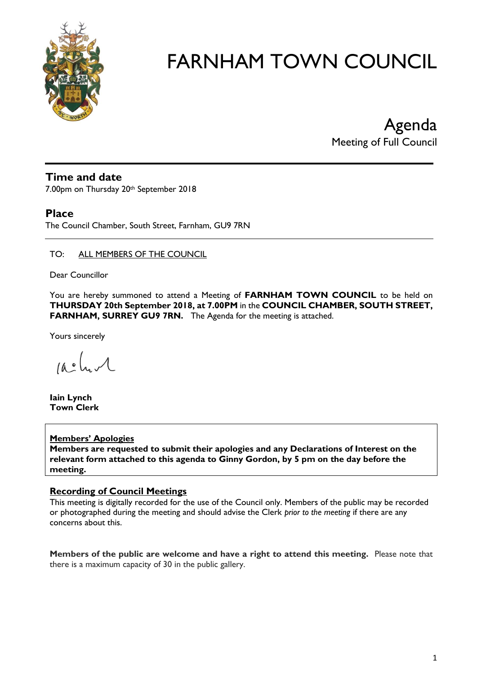

Agenda Meeting of Full Council

# **Time and date**

7.00pm on Thursday 20th September 2018

### **Place**

The Council Chamber, South Street, Farnham, GU9 7RN

#### TO: ALL MEMBERS OF THE COUNCIL

Dear Councillor

You are hereby summoned to attend a Meeting of **FARNHAM TOWN COUNCIL** to be held on **THURSDAY 20th September 2018, at 7.00PM** in the **COUNCIL CHAMBER, SOUTH STREET, FARNHAM, SURREY GU9 7RN.** The Agenda for the meeting is attached.

Yours sincerely

 $100h$ 

**Iain Lynch Town Clerk**

#### **Members' Apologies**

**Members are requested to submit their apologies and any Declarations of Interest on the relevant form attached to this agenda to Ginny Gordon, by 5 pm on the day before the meeting.**

#### **Recording of Council Meetings**

This meeting is digitally recorded for the use of the Council only. Members of the public may be recorded or photographed during the meeting and should advise the Clerk *prior to the meeting* if there are any concerns about this.

**Members of the public are welcome and have a right to attend this meeting.** Please note that there is a maximum capacity of 30 in the public gallery.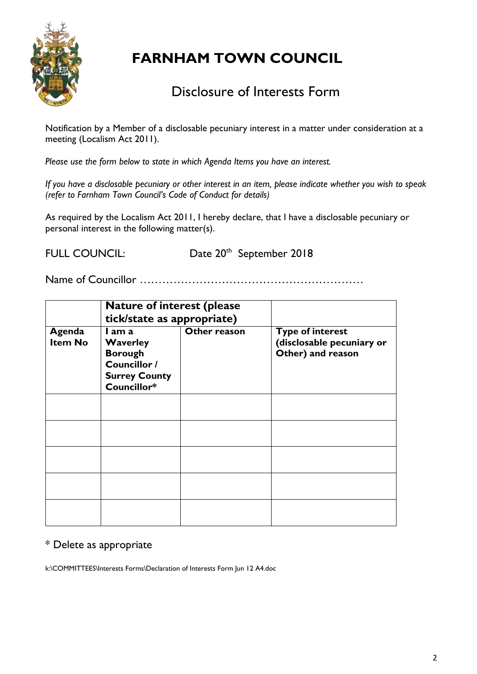

# Disclosure of Interests Form

Notification by a Member of a disclosable pecuniary interest in a matter under consideration at a meeting (Localism Act 2011).

*Please use the form below to state in which Agenda Items you have an interest.* 

*If you have a disclosable pecuniary or other interest in an item, please indicate whether you wish to speak (refer to Farnham Town Council's Code of Conduct for details)*

As required by the Localism Act 2011, I hereby declare, that I have a disclosable pecuniary or personal interest in the following matter(s).

FULL COUNCIL:

<sup>th</sup> September 2018

Name of Councillor ……………………………………………………

|                          | <b>Nature of interest (please)</b><br>tick/state as appropriate)                                   |              |                                                                           |
|--------------------------|----------------------------------------------------------------------------------------------------|--------------|---------------------------------------------------------------------------|
| Agenda<br><b>Item No</b> | I am a<br><b>Waverley</b><br><b>Borough</b><br>Councillor /<br><b>Surrey County</b><br>Councillor* | Other reason | <b>Type of interest</b><br>(disclosable pecuniary or<br>Other) and reason |
|                          |                                                                                                    |              |                                                                           |
|                          |                                                                                                    |              |                                                                           |
|                          |                                                                                                    |              |                                                                           |
|                          |                                                                                                    |              |                                                                           |
|                          |                                                                                                    |              |                                                                           |

# \* Delete as appropriate

k:\COMMITTEES\Interests Forms\Declaration of Interests Form Jun 12 A4.doc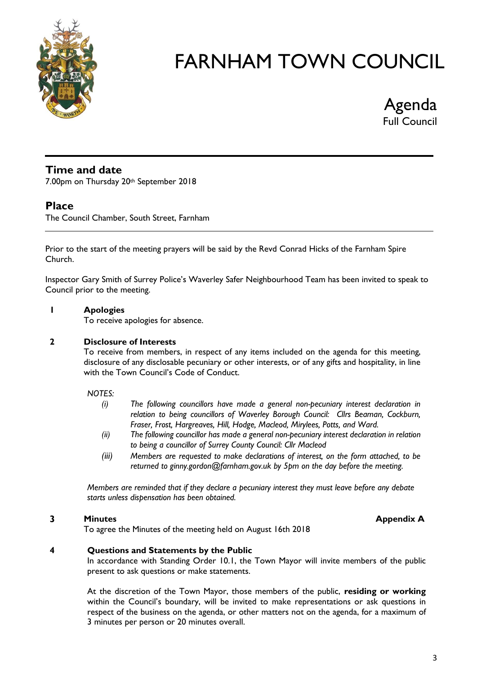

Agenda Full Council

## **Time and date**

7.00pm on Thursday 20th September 2018

# **Place**

The Council Chamber, South Street, Farnham

Prior to the start of the meeting prayers will be said by the Revd Conrad Hicks of the Farnham Spire Church.

Inspector Gary Smith of Surrey Police's Waverley Safer Neighbourhood Team has been invited to speak to Council prior to the meeting.

#### **1 Apologies**

To receive apologies for absence.

#### **2 Disclosure of Interests**

To receive from members, in respect of any items included on the agenda for this meeting, disclosure of any disclosable pecuniary or other interests, or of any gifts and hospitality, in line with the Town Council's Code of Conduct.

*NOTES:*

- *(i) The following councillors have made a general non-pecuniary interest declaration in relation to being councillors of Waverley Borough Council: Cllrs Beaman, Cockburn, Fraser, Frost, Hargreaves, Hill, Hodge, Macleod, Mirylees, Potts, and Ward.*
- *(ii) The following councillor has made a general non-pecuniary interest declaration in relation to being a councillor of Surrey County Council: Cllr Macleod*
- *(iii) Members are requested to make declarations of interest, on the form attached, to be returned to ginny.gordon@farnham.gov.uk by 5pm on the day before the meeting.*

*Members are reminded that if they declare a pecuniary interest they must leave before any debate starts unless dispensation has been obtained.*

#### **3 Minutes Appendix A**

To agree the Minutes of the meeting held on August 16th 2018

#### **4 Questions and Statements by the Public**

In accordance with Standing Order 10.1, the Town Mayor will invite members of the public present to ask questions or make statements.

At the discretion of the Town Mayor, those members of the public, **residing or working** within the Council's boundary, will be invited to make representations or ask questions in respect of the business on the agenda, or other matters not on the agenda, for a maximum of 3 minutes per person or 20 minutes overall.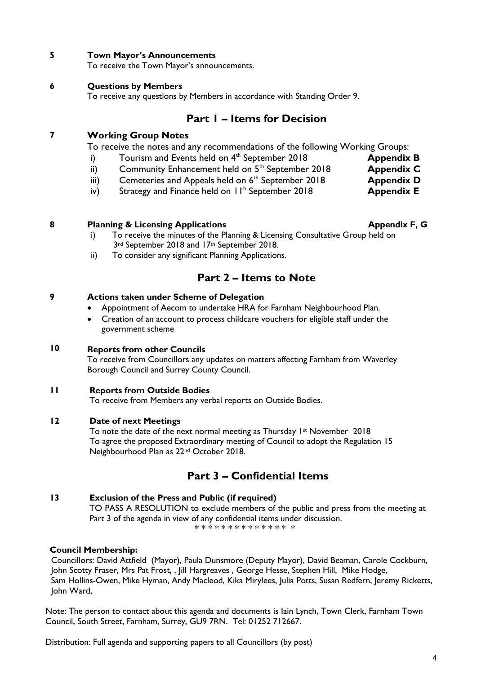#### **5 Town Mayor's Announcements**

To receive the Town Mayor's announcements.

#### **6 Questions by Members**

To receive any questions by Members in accordance with Standing Order 9.

### **Part 1 – Items for Decision**

#### **7 Working Group Notes**

To receive the notes and any recommendations of the following Working Groups:

- i) Tourism and Events held on 4<sup>th</sup> September 2018 **Appendix B**
- ii) Community Enhancement held on 5<sup>th</sup> September 2018 **Appendix C**
- iii) Cemeteries and Appeals held on 6<sup>th</sup> September 2018 **Appendix D**
- iv) Strategy and Finance held on 11<sup>h</sup> September 2018 **Appendix E**

#### **8 Planning & Licensing Applications Appendix F, G**

- i) To receive the minutes of the Planning & Licensing Consultative Group held on 3<sup>rd</sup> September 2018 and 17<sup>th</sup> September 2018.
- ii) To consider any significant Planning Applications.

# **Part 2 – Items to Note**

#### **9 Actions taken under Scheme of Delegation**

- Appointment of Aecom to undertake HRA for Farnham Neighbourhood Plan.
- Creation of an account to process childcare vouchers for eligible staff under the government scheme

#### **10 Reports from other Councils**

To receive from Councillors any updates on matters affecting Farnham from Waverley Borough Council and Surrey County Council.

#### **11 Reports from Outside Bodies**

To receive from Members any verbal reports on Outside Bodies.

#### **12 Date of next Meetings**

To note the date of the next normal meeting as Thursday  $1st$  November 2018 To agree the proposed Extraordinary meeting of Council to adopt the Regulation 15 Neighbourhood Plan as 22nd October 2018.

### **Part 3 – Confidential Items**

#### **13 Exclusion of the Press and Public (if required)**

TO PASS A RESOLUTION to exclude members of the public and press from the meeting at Part 3 of the agenda in view of any confidential items under discussion.

\* \* \* \* \* \* \* \* \* \* \* \* \* \* \*

#### **Council Membership:**

Councillors: David Attfield (Mayor), Paula Dunsmore (Deputy Mayor), David Beaman, Carole Cockburn, John Scotty Fraser, Mrs Pat Frost, , Jill Hargreaves , George Hesse, Stephen Hill, Mike Hodge, Sam Hollins-Owen, Mike Hyman, Andy Macleod, Kika Mirylees, Julia Potts, Susan Redfern, Jeremy Ricketts, John Ward,

Note: The person to contact about this agenda and documents is Iain Lynch, Town Clerk, Farnham Town Council, South Street, Farnham, Surrey, GU9 7RN. Tel: 01252 712667.

Distribution: Full agenda and supporting papers to all Councillors (by post)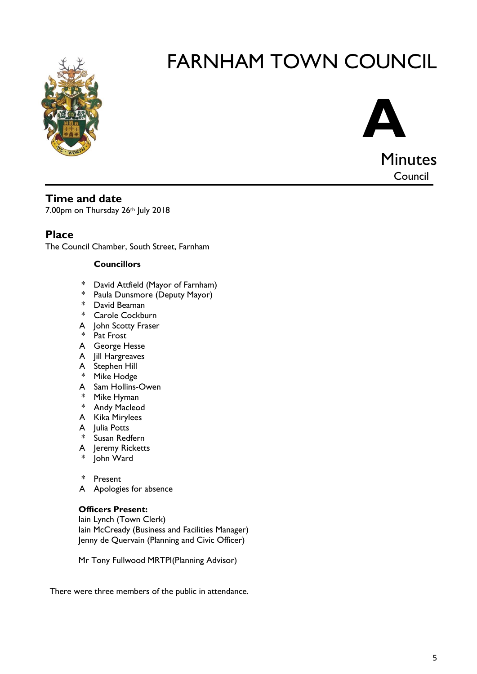



# **Time and date**

7.00pm on Thursday 26th July 2018

# **Place**

The Council Chamber, South Street, Farnham

#### **Councillors**

- \* David Attfield (Mayor of Farnham)
- \* Paula Dunsmore (Deputy Mayor)
- \* David Beaman
- \* Carole Cockburn
- A John Scotty Fraser
- \* Pat Frost
- A George Hesse
- A Jill Hargreaves
- A Stephen Hill
- \* Mike Hodge
- A Sam Hollins-Owen
- \* Mike Hyman
- \* Andy Macleod
- A Kika Mirylees
- A Julia Potts
- \* Susan Redfern
- A Jeremy Ricketts
- John Ward
- \* Present
- A Apologies for absence

#### **Officers Present:**

Iain Lynch (Town Clerk) Iain McCready (Business and Facilities Manager) Jenny de Quervain (Planning and Civic Officer)

Mr Tony Fullwood MRTPI(Planning Advisor)

There were three members of the public in attendance.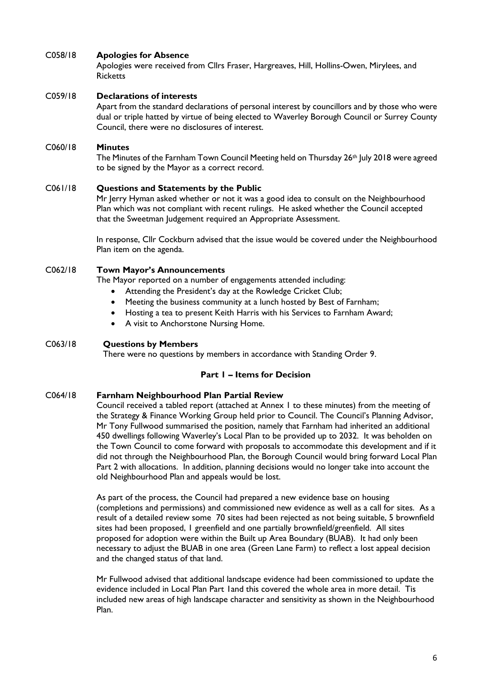#### C058/18 **Apologies for Absence**

Apologies were received from Cllrs Fraser, Hargreaves, Hill, Hollins-Owen, Mirylees, and **Ricketts** 

#### C059/18 **Declarations of interests**

Apart from the standard declarations of personal interest by councillors and by those who were dual or triple hatted by virtue of being elected to Waverley Borough Council or Surrey County Council, there were no disclosures of interest.

#### C060/18 **Minutes**

The Minutes of the Farnham Town Council Meeting held on Thursday 26<sup>th</sup> July 2018 were agreed to be signed by the Mayor as a correct record.

#### C061/18 **Questions and Statements by the Public**

Mr Jerry Hyman asked whether or not it was a good idea to consult on the Neighbourhood Plan which was not compliant with recent rulings. He asked whether the Council accepted that the Sweetman Judgement required an Appropriate Assessment.

In response, Cllr Cockburn advised that the issue would be covered under the Neighbourhood Plan item on the agenda.

#### C062/18 **Town Mayor's Announcements**

The Mayor reported on a number of engagements attended including:

- Attending the President's day at the Rowledge Cricket Club;
- Meeting the business community at a lunch hosted by Best of Farnham;
- Hosting a tea to present Keith Harris with his Services to Farnham Award;
- A visit to Anchorstone Nursing Home.

#### C063/18 **Questions by Members**

There were no questions by members in accordance with Standing Order 9.

#### **Part 1 – Items for Decision**

#### C064/18 **Farnham Neighbourhood Plan Partial Review**

Council received a tabled report (attached at Annex 1 to these minutes) from the meeting of the Strategy & Finance Working Group held prior to Council. The Council's Planning Advisor, Mr Tony Fullwood summarised the position, namely that Farnham had inherited an additional 450 dwellings following Waverley's Local Plan to be provided up to 2032. It was beholden on the Town Council to come forward with proposals to accommodate this development and if it did not through the Neighbourhood Plan, the Borough Council would bring forward Local Plan Part 2 with allocations. In addition, planning decisions would no longer take into account the old Neighbourhood Plan and appeals would be lost.

As part of the process, the Council had prepared a new evidence base on housing (completions and permissions) and commissioned new evidence as well as a call for sites. As a result of a detailed review some 70 sites had been rejected as not being suitable, 5 brownfield sites had been proposed, 1 greenfield and one partially brownfield/greenfield. All sites proposed for adoption were within the Built up Area Boundary (BUAB). It had only been necessary to adjust the BUAB in one area (Green Lane Farm) to reflect a lost appeal decision and the changed status of that land.

Mr Fullwood advised that additional landscape evidence had been commissioned to update the evidence included in Local Plan Part 1and this covered the whole area in more detail. Tis included new areas of high landscape character and sensitivity as shown in the Neighbourhood Plan.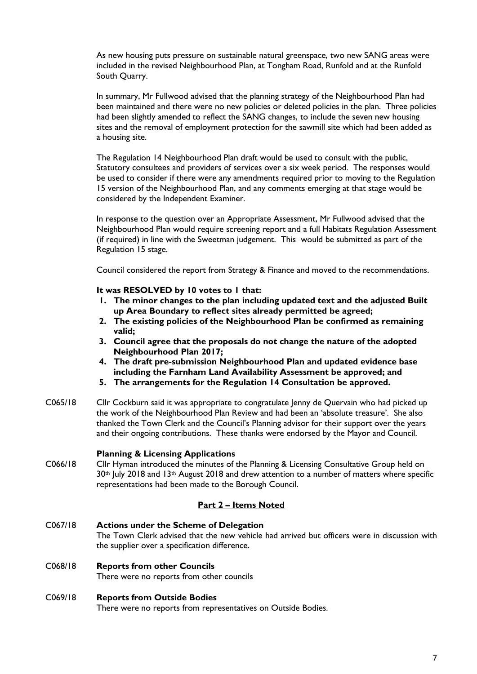As new housing puts pressure on sustainable natural greenspace, two new SANG areas were included in the revised Neighbourhood Plan, at Tongham Road, Runfold and at the Runfold South Quarry.

In summary, Mr Fullwood advised that the planning strategy of the Neighbourhood Plan had been maintained and there were no new policies or deleted policies in the plan. Three policies had been slightly amended to reflect the SANG changes, to include the seven new housing sites and the removal of employment protection for the sawmill site which had been added as a housing site.

The Regulation 14 Neighbourhood Plan draft would be used to consult with the public, Statutory consultees and providers of services over a six week period. The responses would be used to consider if there were any amendments required prior to moving to the Regulation 15 version of the Neighbourhood Plan, and any comments emerging at that stage would be considered by the Independent Examiner.

In response to the question over an Appropriate Assessment, Mr Fullwood advised that the Neighbourhood Plan would require screening report and a full Habitats Regulation Assessment (if required) in line with the Sweetman judgement. This would be submitted as part of the Regulation 15 stage.

Council considered the report from Strategy & Finance and moved to the recommendations.

**It was RESOLVED by 10 votes to 1 that:**

- **1. The minor changes to the plan including updated text and the adjusted Built up Area Boundary to reflect sites already permitted be agreed;**
- **2. The existing policies of the Neighbourhood Plan be confirmed as remaining valid;**
- **3. Council agree that the proposals do not change the nature of the adopted Neighbourhood Plan 2017;**
- **4. The draft pre-submission Neighbourhood Plan and updated evidence base including the Farnham Land Availability Assessment be approved; and**
- **5. The arrangements for the Regulation 14 Consultation be approved.**
- C065/18 Cllr Cockburn said it was appropriate to congratulate Jenny de Quervain who had picked up the work of the Neighbourhood Plan Review and had been an 'absolute treasure'. She also thanked the Town Clerk and the Council's Planning advisor for their support over the years and their ongoing contributions. These thanks were endorsed by the Mayor and Council.

#### **Planning & Licensing Applications**

C066/18 Cllr Hyman introduced the minutes of the Planning & Licensing Consultative Group held on 30<sup>th</sup> July 2018 and 13<sup>th</sup> August 2018 and drew attention to a number of matters where specific representations had been made to the Borough Council.

#### **Part 2 – Items Noted**

C067/18 **Actions under the Scheme of Delegation** The Town Clerk advised that the new vehicle had arrived but officers were in discussion with the supplier over a specification difference.

#### C068/18 **Reports from other Councils**

There were no reports from other councils

#### C069/18 **Reports from Outside Bodies**

There were no reports from representatives on Outside Bodies.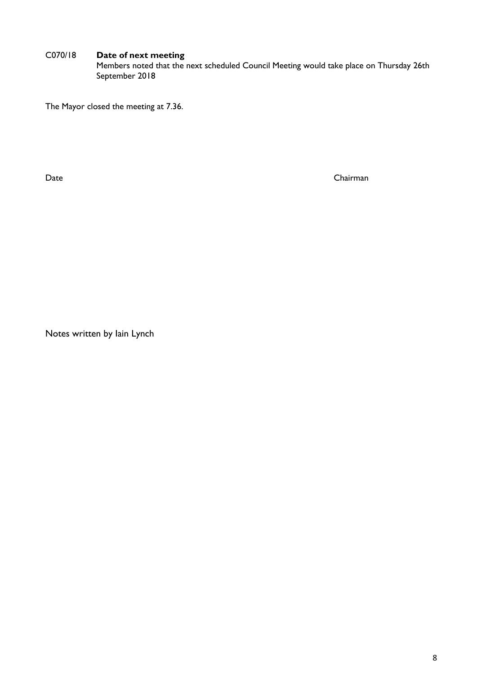#### C070/18 **Date of next meeting**

Members noted that the next scheduled Council Meeting would take place on Thursday 26th September 2018

The Mayor closed the meeting at 7.36.

Date Chairman

Notes written by Iain Lynch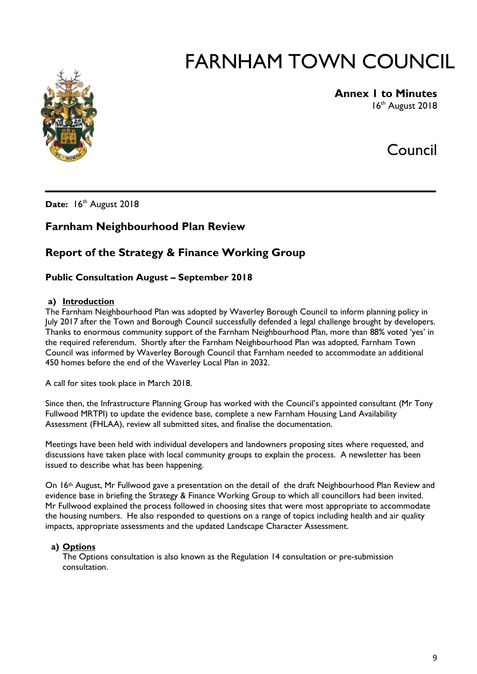

#### **Annex 1 to Minutes** 16th August 2018

# Council

Date: 16th August 2018

# **Farnham Neighbourhood Plan Review**

# **Report of the Strategy & Finance Working Group**

#### **Public Consultation August – September 2018**

#### **a) Introduction**

The Farnham Neighbourhood Plan was adopted by Waverley Borough Council to inform planning policy in July 2017 after the Town and Borough Council successfully defended a legal challenge brought by developers. Thanks to enormous community support of the Farnham Neighbourhood Plan, more than 88% voted 'yes' in the required referendum. Shortly after the Farnham Neighbourhood Plan was adopted, Farnham Town Council was informed by Waverley Borough Council that Farnham needed to accommodate an additional 450 homes before the end of the Waverley Local Plan in 2032.

A call for sites took place in March 2018.

Since then, the Infrastructure Planning Group has worked with the Council's appointed consultant (Mr Tony Fullwood MRTPI) to update the evidence base, complete a new Farnham Housing Land Availability Assessment (FHLAA), review all submitted sites, and finalise the documentation.

Meetings have been held with individual developers and landowners proposing sites where requested, and discussions have taken place with local community groups to explain the process. A newsletter has been issued to describe what has been happening.

On 16th August, Mr Fullwood gave a presentation on the detail of the draft Neighbourhood Plan Review and evidence base in briefing the Strategy & Finance Working Group to which all councillors had been invited. Mr Fullwood explained the process followed in choosing sites that were most appropriate to accommodate the housing numbers. He also responded to questions on a range of topics including health and air quality impacts, appropriate assessments and the updated Landscape Character Assessment.

#### **a) Options**

The Options consultation is also known as the Regulation 14 consultation or pre-submission consultation.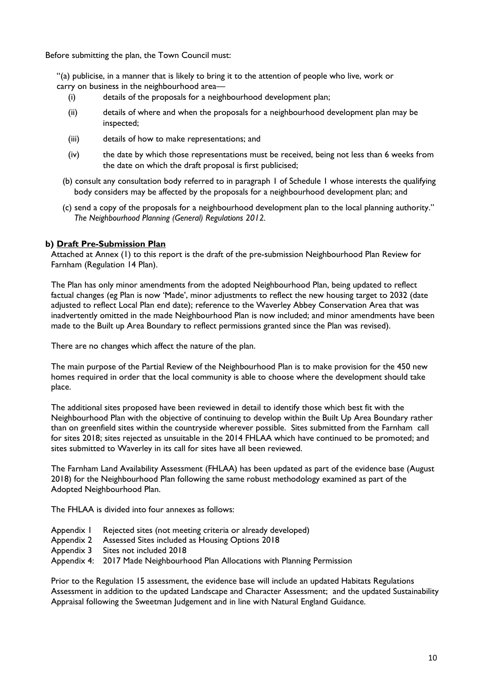Before submitting the plan, the Town Council must:

"(a) publicise, in a manner that is likely to bring it to the attention of people who live, work or carry on business in the neighbourhood area—

- (i) details of the proposals for a neighbourhood development plan;
- (ii) details of where and when the proposals for a neighbourhood development plan may be inspected;
- (iii) details of how to make representations; and
- (iv) the date by which those representations must be received, being not less than 6 weeks from the date on which the draft proposal is first publicised;
- (b) consult any consultation body referred to in paragraph 1 of Schedule 1 whose interests the qualifying body considers may be affected by the proposals for a neighbourhood development plan; and
- (c) send a copy of the proposals for a neighbourhood development plan to the local planning authority." *The Neighbourhood Planning (General) Regulations 2012.*

#### **b) Draft Pre-Submission Plan**

Attached at Annex (1) to this report is the draft of the pre-submission Neighbourhood Plan Review for Farnham (Regulation 14 Plan).

The Plan has only minor amendments from the adopted Neighbourhood Plan, being updated to reflect factual changes (eg Plan is now 'Made', minor adjustments to reflect the new housing target to 2032 (date adjusted to reflect Local Plan end date); reference to the Waverley Abbey Conservation Area that was inadvertently omitted in the made Neighbourhood Plan is now included; and minor amendments have been made to the Built up Area Boundary to reflect permissions granted since the Plan was revised).

There are no changes which affect the nature of the plan.

The main purpose of the Partial Review of the Neighbourhood Plan is to make provision for the 450 new homes required in order that the local community is able to choose where the development should take place.

The additional sites proposed have been reviewed in detail to identify those which best fit with the Neighbourhood Plan with the objective of continuing to develop within the Built Up Area Boundary rather than on greenfield sites within the countryside wherever possible. Sites submitted from the Farnham call for sites 2018; sites rejected as unsuitable in the 2014 FHLAA which have continued to be promoted; and sites submitted to Waverley in its call for sites have all been reviewed.

The Farnham Land Availability Assessment (FHLAA) has been updated as part of the evidence base (August 2018) for the Neighbourhood Plan following the same robust methodology examined as part of the Adopted Neighbourhood Plan.

The FHLAA is divided into four annexes as follows:

- Appendix 1 Rejected sites (not meeting criteria or already developed)
- Appendix 2 Assessed Sites included as Housing Options 2018
- Appendix 3 Sites not included 2018
- Appendix 4: 2017 Made Neighbourhood Plan Allocations with Planning Permission

Prior to the Regulation 15 assessment, the evidence base will include an updated Habitats Regulations Assessment in addition to the updated Landscape and Character Assessment; and the updated Sustainability Appraisal following the Sweetman Judgement and in line with Natural England Guidance.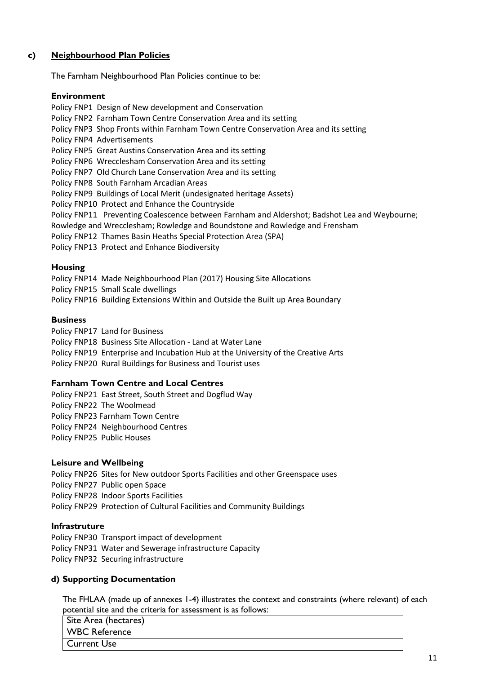#### **c) Neighbourhood Plan Policies**

The Farnham Neighbourhood Plan Policies continue to be:

#### **Environment**

Policy FNP1 Design of New development and Conservation Policy FNP2 Farnham Town Centre Conservation Area and its setting Policy FNP3 Shop Fronts within Farnham Town Centre Conservation Area and its setting Policy FNP4 Advertisements Policy FNP5 Great Austins Conservation Area and its setting Policy FNP6 Wrecclesham Conservation Area and its setting Policy FNP7 Old Church Lane Conservation Area and its setting Policy FNP8 South Farnham Arcadian Areas Policy FNP9 Buildings of Local Merit (undesignated heritage Assets) Policy FNP10 Protect and Enhance the Countryside Policy FNP11 Preventing Coalescence between Farnham and Aldershot; Badshot Lea and Weybourne; Rowledge and Wrecclesham; Rowledge and Boundstone and Rowledge and Frensham Policy FNP12 Thames Basin Heaths Special Protection Area (SPA) Policy FNP13 Protect and Enhance Biodiversity

#### **Housing**

Policy FNP14 Made Neighbourhood Plan (2017) Housing Site Allocations Policy FNP15 Small Scale dwellings Policy FNP16 Building Extensions Within and Outside the Built up Area Boundary

#### **Business**

Policy FNP17 Land for Business Policy FNP18 Business Site Allocation - Land at Water Lane Policy FNP19 Enterprise and Incubation Hub at the University of the Creative Arts Policy FNP20 Rural Buildings for Business and Tourist uses

#### **Farnham Town Centre and Local Centres**

Policy FNP21 East Street, South Street and Dogflud Way Policy FNP22 The Woolmead Policy FNP23 Farnham Town Centre Policy FNP24 Neighbourhood Centres Policy FNP25 Public Houses

#### **Leisure and Wellbeing**

Policy FNP26 Sites for New outdoor Sports Facilities and other Greenspace uses Policy FNP27 Public open Space Policy FNP28 Indoor Sports Facilities

Policy FNP29 Protection of Cultural Facilities and Community Buildings

#### **Infrastruture**

Policy FNP30 Transport impact of development Policy FNP31 Water and Sewerage infrastructure Capacity Policy FNP32 Securing infrastructure

#### **d) Supporting Documentation**

The FHLAA (made up of annexes 1-4) illustrates the context and constraints (where relevant) of each potential site and the criteria for assessment is as follows:

| Site Area (hectares) |
|----------------------|
| WBC Reference        |
| Current Use          |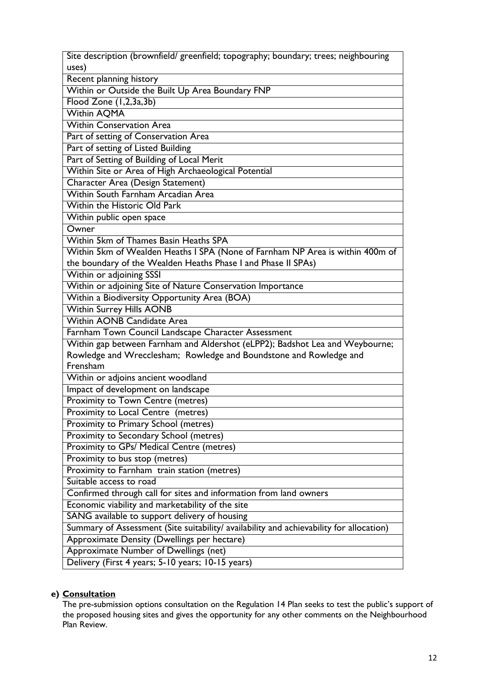| Site description (brownfield/ greenfield; topography; boundary; trees; neighbouring<br>uses) |
|----------------------------------------------------------------------------------------------|
| Recent planning history                                                                      |
| Within or Outside the Built Up Area Boundary FNP                                             |
| Flood Zone (1,2,3a,3b)                                                                       |
| <b>Within AQMA</b>                                                                           |
| <b>Within Conservation Area</b>                                                              |
| Part of setting of Conservation Area                                                         |
| Part of setting of Listed Building                                                           |
| Part of Setting of Building of Local Merit                                                   |
| Within Site or Area of High Archaeological Potential                                         |
| <b>Character Area (Design Statement)</b>                                                     |
| Within South Farnham Arcadian Area                                                           |
| Within the Historic Old Park                                                                 |
| Within public open space                                                                     |
| Owner                                                                                        |
| Within 5km of Thames Basin Heaths SPA                                                        |
| Within 5km of Wealden Heaths I SPA (None of Farnham NP Area is within 400m of                |
| the boundary of the Wealden Heaths Phase I and Phase II SPAs)                                |
| Within or adjoining SSSI                                                                     |
| Within or adjoining Site of Nature Conservation Importance                                   |
| Within a Biodiversity Opportunity Area (BOA)                                                 |
| <b>Within Surrey Hills AONB</b>                                                              |
| <b>Within AONB Candidate Area</b>                                                            |
| Farnham Town Council Landscape Character Assessment                                          |
| Within gap between Farnham and Aldershot (eLPP2); Badshot Lea and Weybourne;                 |
| Rowledge and Wrecclesham; Rowledge and Boundstone and Rowledge and                           |
| Frensham                                                                                     |
| Within or adjoins ancient woodland                                                           |
| Impact of development on landscape                                                           |
| Proximity to Town Centre (metres)                                                            |
| Proximity to Local Centre (metres)                                                           |
| Proximity to Primary School (metres)                                                         |
| Proximity to Secondary School (metres)                                                       |
| Proximity to GPs/ Medical Centre (metres)                                                    |
| Proximity to bus stop (metres)                                                               |
| Proximity to Farnham train station (metres)                                                  |
| Suitable access to road                                                                      |
| Confirmed through call for sites and information from land owners                            |
| Economic viability and marketability of the site                                             |
| SANG available to support delivery of housing                                                |
| Summary of Assessment (Site suitability/ availability and achievability for allocation)      |
| Approximate Density (Dwellings per hectare)                                                  |
| Approximate Number of Dwellings (net)                                                        |
| Delivery (First 4 years; 5-10 years; 10-15 years)                                            |

# **e) Consultation**

The pre-submission options consultation on the Regulation 14 Plan seeks to test the public's support of the proposed housing sites and gives the opportunity for any other comments on the Neighbourhood Plan Review.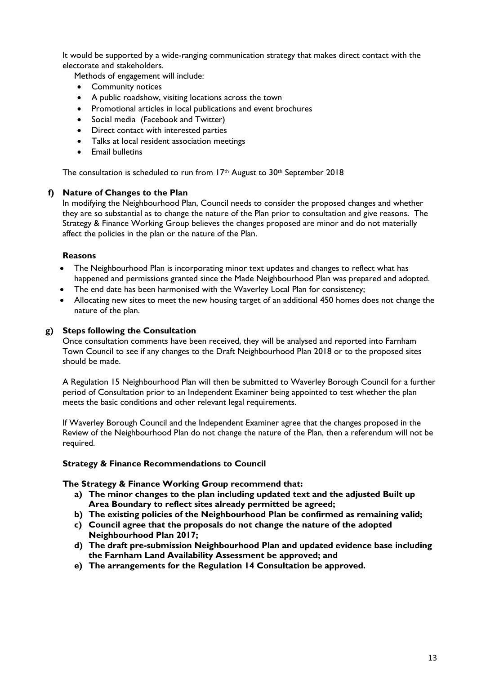It would be supported by a wide-ranging communication strategy that makes direct contact with the electorate and stakeholders.

Methods of engagement will include:

- Community notices
- A public roadshow, visiting locations across the town
- Promotional articles in local publications and event brochures
- Social media (Facebook and Twitter)
- Direct contact with interested parties
- Talks at local resident association meetings
- Email bulletins

The consultation is scheduled to run from 17<sup>th</sup> August to 30<sup>th</sup> September 2018

#### **f) Nature of Changes to the Plan**

In modifying the Neighbourhood Plan, Council needs to consider the proposed changes and whether they are so substantial as to change the nature of the Plan prior to consultation and give reasons. The Strategy & Finance Working Group believes the changes proposed are minor and do not materially affect the policies in the plan or the nature of the Plan.

#### **Reasons**

- The Neighbourhood Plan is incorporating minor text updates and changes to reflect what has happened and permissions granted since the Made Neighbourhood Plan was prepared and adopted.
- The end date has been harmonised with the Waverley Local Plan for consistency;
- Allocating new sites to meet the new housing target of an additional 450 homes does not change the nature of the plan.

#### **g) Steps following the Consultation**

Once consultation comments have been received, they will be analysed and reported into Farnham Town Council to see if any changes to the Draft Neighbourhood Plan 2018 or to the proposed sites should be made.

A Regulation 15 Neighbourhood Plan will then be submitted to Waverley Borough Council for a further period of Consultation prior to an Independent Examiner being appointed to test whether the plan meets the basic conditions and other relevant legal requirements.

If Waverley Borough Council and the Independent Examiner agree that the changes proposed in the Review of the Neighbourhood Plan do not change the nature of the Plan, then a referendum will not be required.

#### **Strategy & Finance Recommendations to Council**

**The Strategy & Finance Working Group recommend that:**

- **a) The minor changes to the plan including updated text and the adjusted Built up Area Boundary to reflect sites already permitted be agreed;**
- **b) The existing policies of the Neighbourhood Plan be confirmed as remaining valid;**
- **c) Council agree that the proposals do not change the nature of the adopted Neighbourhood Plan 2017;**
- **d) The draft pre-submission Neighbourhood Plan and updated evidence base including the Farnham Land Availability Assessment be approved; and**
- **e) The arrangements for the Regulation 14 Consultation be approved.**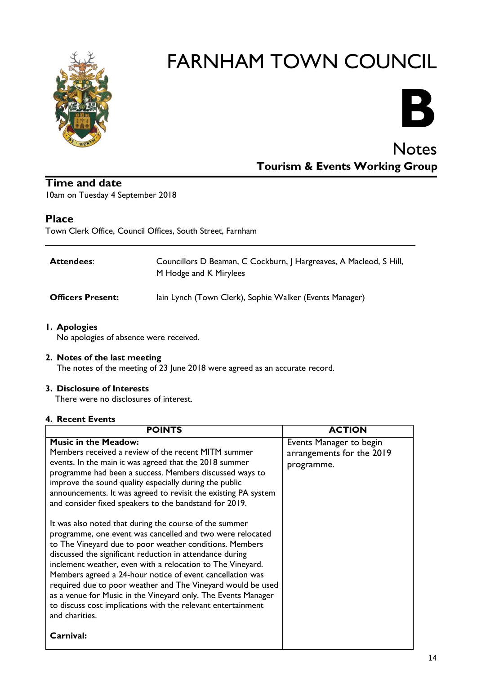



# **Notes Tourism & Events Working Group**

#### **Time and date** 10am on Tuesday 4 September 2018

### **Place**

Town Clerk Office, Council Offices, South Street, Farnham

| <b>Attendees:</b>        | Councillors D Beaman, C Cockburn, J Hargreaves, A Macleod, S Hill,<br>M Hodge and K Mirylees |
|--------------------------|----------------------------------------------------------------------------------------------|
| <b>Officers Present:</b> | lain Lynch (Town Clerk), Sophie Walker (Events Manager)                                      |

**1. Apologies**

No apologies of absence were received.

#### **2. Notes of the last meeting**

The notes of the meeting of 23 June 2018 were agreed as an accurate record.

#### **3. Disclosure of Interests**

There were no disclosures of interest.

#### **4. Recent Events**

| <b>POINTS</b>                                                                                                                                                                                                                                                                                                                                                                                                                                                                                                                                                                           | <b>ACTION</b>                                                      |
|-----------------------------------------------------------------------------------------------------------------------------------------------------------------------------------------------------------------------------------------------------------------------------------------------------------------------------------------------------------------------------------------------------------------------------------------------------------------------------------------------------------------------------------------------------------------------------------------|--------------------------------------------------------------------|
| <b>Music in the Meadow:</b><br>Members received a review of the recent MITM summer<br>events. In the main it was agreed that the 2018 summer<br>programme had been a success. Members discussed ways to<br>improve the sound quality especially during the public<br>announcements. It was agreed to revisit the existing PA system<br>and consider fixed speakers to the bandstand for 2019.                                                                                                                                                                                           | Events Manager to begin<br>arrangements for the 2019<br>programme. |
| It was also noted that during the course of the summer<br>programme, one event was cancelled and two were relocated<br>to The Vineyard due to poor weather conditions. Members<br>discussed the significant reduction in attendance during<br>inclement weather, even with a relocation to The Vineyard.<br>Members agreed a 24-hour notice of event cancellation was<br>required due to poor weather and The Vineyard would be used<br>as a venue for Music in the Vineyard only. The Events Manager<br>to discuss cost implications with the relevant entertainment<br>and charities. |                                                                    |
| Carnival:                                                                                                                                                                                                                                                                                                                                                                                                                                                                                                                                                                               |                                                                    |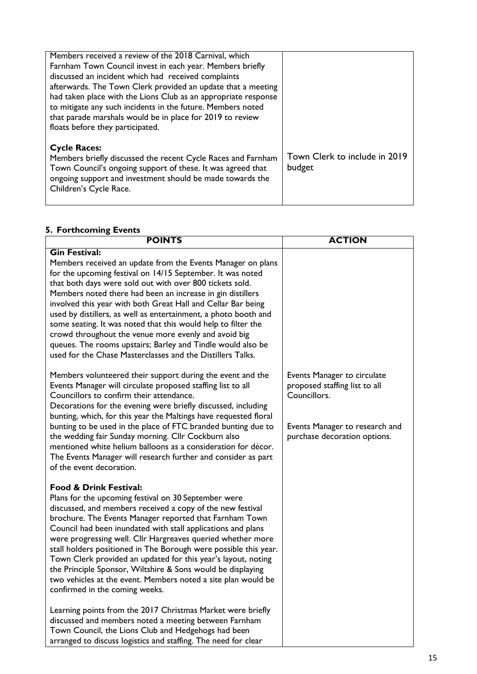| Members received a review of the 2018 Carnival, which          |                               |
|----------------------------------------------------------------|-------------------------------|
| Farnham Town Council invest in each year. Members briefly      |                               |
| discussed an incident which had received complaints            |                               |
| afterwards. The Town Clerk provided an update that a meeting   |                               |
| had taken place with the Lions Club as an appropriate response |                               |
| to mitigate any such incidents in the future. Members noted    |                               |
| that parade marshals would be in place for 2019 to review      |                               |
| floats before they participated.                               |                               |
|                                                                |                               |
| <b>Cycle Races:</b>                                            |                               |
| Members briefly discussed the recent Cycle Races and Farnham   | Town Clerk to include in 2019 |
| Town Council's ongoing support of these. It was agreed that    | budget                        |
| ongoing support and investment should be made towards the      |                               |
| Children's Cycle Race.                                         |                               |
|                                                                |                               |

# **5. Forthcoming Events**

| <b>POINTS</b>                                                                                                                                                                                                                                                                                                                                                                                                                                                                                                                                                                                                                                                                                                                                                                                                                                                                                             | <b>ACTION</b>                                                                                                                                  |
|-----------------------------------------------------------------------------------------------------------------------------------------------------------------------------------------------------------------------------------------------------------------------------------------------------------------------------------------------------------------------------------------------------------------------------------------------------------------------------------------------------------------------------------------------------------------------------------------------------------------------------------------------------------------------------------------------------------------------------------------------------------------------------------------------------------------------------------------------------------------------------------------------------------|------------------------------------------------------------------------------------------------------------------------------------------------|
| <b>Gin Festival:</b><br>Members received an update from the Events Manager on plans<br>for the upcoming festival on 14/15 September. It was noted<br>that both days were sold out with over 800 tickets sold.<br>Members noted there had been an increase in gin distillers<br>involved this year with both Great Hall and Cellar Bar being<br>used by distillers, as well as entertainment, a photo booth and<br>some seating. It was noted that this would help to filter the<br>crowd throughout the venue more evenly and avoid big<br>queues. The rooms upstairs; Barley and Tindle would also be<br>used for the Chase Masterclasses and the Distillers Talks.                                                                                                                                                                                                                                      |                                                                                                                                                |
| Members volunteered their support during the event and the<br>Events Manager will circulate proposed staffing list to all<br>Councillors to confirm their attendance.<br>Decorations for the evening were briefly discussed, including<br>bunting, which, for this year the Maltings have requested floral<br>bunting to be used in the place of FTC branded bunting due to<br>the wedding fair Sunday morning. Cllr Cockburn also<br>mentioned white helium balloons as a consideration for décor.<br>The Events Manager will research further and consider as part<br>of the event decoration.                                                                                                                                                                                                                                                                                                          | Events Manager to circulate<br>proposed staffing list to all<br>Councillors.<br>Events Manager to research and<br>purchase decoration options. |
| <b>Food &amp; Drink Festival:</b><br>Plans for the upcoming festival on 30 September were<br>discussed, and members received a copy of the new festival<br>brochure. The Events Manager reported that Farnham Town<br>Council had been inundated with stall applications and plans<br>were progressing well. Cllr Hargreaves queried whether more<br>stall holders positioned in The Borough were possible this year.<br>Town Clerk provided an updated for this year's layout, noting<br>the Principle Sponsor, Wiltshire & Sons would be displaying<br>two vehicles at the event. Members noted a site plan would be<br>confirmed in the coming weeks.<br>Learning points from the 2017 Christmas Market were briefly<br>discussed and members noted a meeting between Farnham<br>Town Council, the Lions Club and Hedgehogs had been<br>arranged to discuss logistics and staffing. The need for clear |                                                                                                                                                |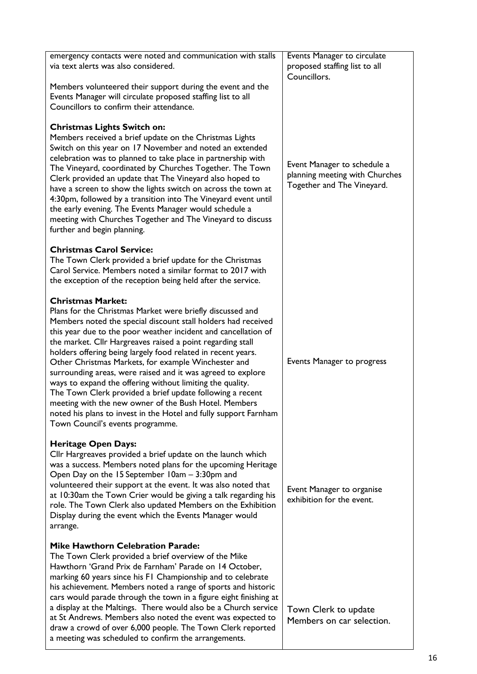| emergency contacts were noted and communication with stalls<br>via text alerts was also considered.                                                                                                                                                                                                                                                                                                                                                                                                                                                                                                                                                                                                                                                                     | Events Manager to circulate<br>proposed staffing list to all<br>Councillors.                |
|-------------------------------------------------------------------------------------------------------------------------------------------------------------------------------------------------------------------------------------------------------------------------------------------------------------------------------------------------------------------------------------------------------------------------------------------------------------------------------------------------------------------------------------------------------------------------------------------------------------------------------------------------------------------------------------------------------------------------------------------------------------------------|---------------------------------------------------------------------------------------------|
| Members volunteered their support during the event and the<br>Events Manager will circulate proposed staffing list to all<br>Councillors to confirm their attendance.                                                                                                                                                                                                                                                                                                                                                                                                                                                                                                                                                                                                   |                                                                                             |
| <b>Christmas Lights Switch on:</b><br>Members received a brief update on the Christmas Lights<br>Switch on this year on 17 November and noted an extended<br>celebration was to planned to take place in partnership with<br>The Vineyard, coordinated by Churches Together. The Town<br>Clerk provided an update that The Vineyard also hoped to<br>have a screen to show the lights switch on across the town at<br>4:30pm, followed by a transition into The Vineyard event until<br>the early evening. The Events Manager would schedule a<br>meeting with Churches Together and The Vineyard to discuss<br>further and begin planning.                                                                                                                             | Event Manager to schedule a<br>planning meeting with Churches<br>Together and The Vineyard. |
| <b>Christmas Carol Service:</b><br>The Town Clerk provided a brief update for the Christmas<br>Carol Service. Members noted a similar format to 2017 with<br>the exception of the reception being held after the service.                                                                                                                                                                                                                                                                                                                                                                                                                                                                                                                                               |                                                                                             |
| <b>Christmas Market:</b><br>Plans for the Christmas Market were briefly discussed and<br>Members noted the special discount stall holders had received<br>this year due to the poor weather incident and cancellation of<br>the market. Cllr Hargreaves raised a point regarding stall<br>holders offering being largely food related in recent years.<br>Other Christmas Markets, for example Winchester and<br>surrounding areas, were raised and it was agreed to explore<br>ways to expand the offering without limiting the quality.<br>The Town Clerk provided a brief update following a recent<br>meeting with the new owner of the Bush Hotel. Members<br>noted his plans to invest in the Hotel and fully support Farnham<br>Town Council's events programme. | Events Manager to progress                                                                  |
| <b>Heritage Open Days:</b><br>Cllr Hargreaves provided a brief update on the launch which<br>was a success. Members noted plans for the upcoming Heritage<br>Open Day on the 15 September 10am - 3:30pm and<br>volunteered their support at the event. It was also noted that<br>at 10:30am the Town Crier would be giving a talk regarding his<br>role. The Town Clerk also updated Members on the Exhibition<br>Display during the event which the Events Manager would<br>arrange.                                                                                                                                                                                                                                                                                   | Event Manager to organise<br>exhibition for the event.                                      |
| <b>Mike Hawthorn Celebration Parade:</b><br>The Town Clerk provided a brief overview of the Mike<br>Hawthorn 'Grand Prix de Farnham' Parade on 14 October,<br>marking 60 years since his FI Championship and to celebrate<br>his achievement. Members noted a range of sports and historic<br>cars would parade through the town in a figure eight finishing at<br>a display at the Maltings. There would also be a Church service<br>at St Andrews. Members also noted the event was expected to<br>draw a crowd of over 6,000 people. The Town Clerk reported<br>a meeting was scheduled to confirm the arrangements.                                                                                                                                                 | Town Clerk to update<br>Members on car selection.                                           |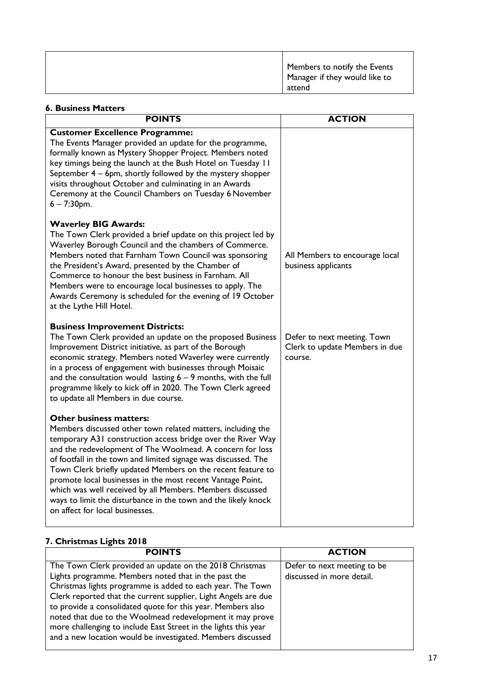| Members to notify the Events<br><sup>1</sup> Manager if they would like to<br>attend |
|--------------------------------------------------------------------------------------|
|--------------------------------------------------------------------------------------|

#### **6. Business Matters POINTS** ACTION **Customer Excellence Programme:** The Events Manager provided an update for the programme, formally known as Mystery Shopper Project. Members noted key timings being the launch at the Bush Hotel on Tuesday 11 September 4 – 6pm, shortly followed by the mystery shopper visits throughout October and culminating in an Awards Ceremony at the Council Chambers on Tuesday 6 November 6 – 7:30pm. **Waverley BIG Awards:** The Town Clerk provided a brief update on this project led by Waverley Borough Council and the chambers of Commerce. Members noted that Farnham Town Council was sponsoring the President's Award, presented by the Chamber of Commerce to honour the best business in Farnham. All Members were to encourage local businesses to apply. The Awards Ceremony is scheduled for the evening of 19 October at the Lythe Hill Hotel. **Business Improvement Districts:** The Town Clerk provided an update on the proposed Business Improvement District initiative, as part of the Borough economic strategy. Members noted Waverley were currently in a process of engagement with businesses through Moisaic and the consultation would lasting  $6 - 9$  months, with the full programme likely to kick off in 2020. The Town Clerk agreed to update all Members in due course. **Other business matters:** Members discussed other town related matters, including the temporary A31 construction access bridge over the River Way and the redevelopment of The Woolmead. A concern for loss of footfall in the town and limited signage was discussed. The Town Clerk briefly updated Members on the recent feature to promote local businesses in the most recent Vantage Point, which was well received by all Members. Members discussed ways to limit the disturbance in the town and the likely knock on affect for local businesses. All Members to encourage local business applicants Defer to next meeting. Town Clerk to update Members in due course.

#### **7. Christmas Lights 2018**

| <b>POINTS</b>                                                                                                                                                                                                                                                                                                                                                                                                                                                                                                 | <b>ACTION</b>                                            |
|---------------------------------------------------------------------------------------------------------------------------------------------------------------------------------------------------------------------------------------------------------------------------------------------------------------------------------------------------------------------------------------------------------------------------------------------------------------------------------------------------------------|----------------------------------------------------------|
| The Town Clerk provided an update on the 2018 Christmas<br>Lights programme. Members noted that in the past the<br>Christmas lights programme is added to each year. The Town<br>Clerk reported that the current supplier, Light Angels are due<br>to provide a consolidated quote for this year. Members also<br>noted that due to the Woolmead redevelopment it may prove<br>more challenging to include East Street in the lights this year<br>and a new location would be investigated. Members discussed | Defer to next meeting to be<br>discussed in more detail. |
|                                                                                                                                                                                                                                                                                                                                                                                                                                                                                                               |                                                          |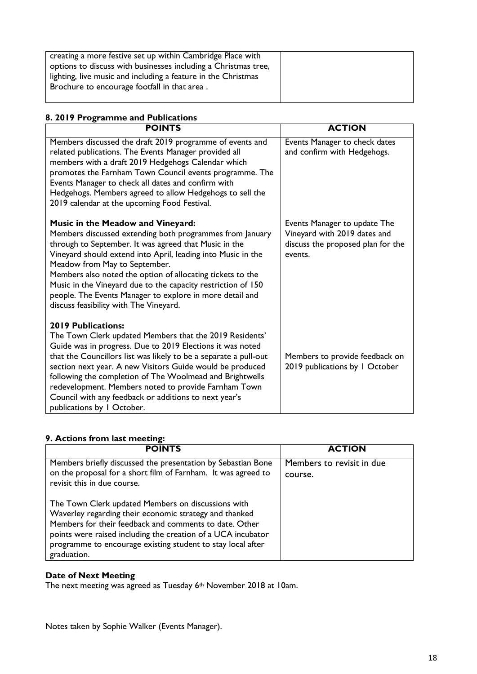| creating a more festive set up within Cambridge Place with     |  |
|----------------------------------------------------------------|--|
|                                                                |  |
| options to discuss with businesses including a Christmas tree, |  |
|                                                                |  |
| lighting, live music and including a feature in the Christmas  |  |
|                                                                |  |
| Brochure to encourage footfall in that area.                   |  |
|                                                                |  |
|                                                                |  |
|                                                                |  |

# **8. 2019 Programme and Publications**

| <b>POINTS</b>                                                                                                                                                                                                                                                                                                                                                                                                                                                                                 | <b>ACTION</b>                                                                                                |
|-----------------------------------------------------------------------------------------------------------------------------------------------------------------------------------------------------------------------------------------------------------------------------------------------------------------------------------------------------------------------------------------------------------------------------------------------------------------------------------------------|--------------------------------------------------------------------------------------------------------------|
| Members discussed the draft 2019 programme of events and<br>related publications. The Events Manager provided all<br>members with a draft 2019 Hedgehogs Calendar which<br>promotes the Farnham Town Council events programme. The<br>Events Manager to check all dates and confirm with<br>Hedgehogs. Members agreed to allow Hedgehogs to sell the<br>2019 calendar at the upcoming Food Festival.                                                                                          | Events Manager to check dates<br>and confirm with Hedgehogs.                                                 |
| Music in the Meadow and Vineyard:<br>Members discussed extending both programmes from January<br>through to September. It was agreed that Music in the<br>Vineyard should extend into April, leading into Music in the<br>Meadow from May to September.<br>Members also noted the option of allocating tickets to the<br>Music in the Vineyard due to the capacity restriction of 150<br>people. The Events Manager to explore in more detail and<br>discuss feasibility with The Vineyard.   | Events Manager to update The<br>Vineyard with 2019 dates and<br>discuss the proposed plan for the<br>events. |
| <b>2019 Publications:</b><br>The Town Clerk updated Members that the 2019 Residents'<br>Guide was in progress. Due to 2019 Elections it was noted<br>that the Councillors list was likely to be a separate a pull-out<br>section next year. A new Visitors Guide would be produced<br>following the completion of The Woolmead and Brightwells<br>redevelopment. Members noted to provide Farnham Town<br>Council with any feedback or additions to next year's<br>publications by I October. | Members to provide feedback on<br>2019 publications by 1 October                                             |

## **9. Actions from last meeting:**

| <b>POINTS</b>                                                                                                                                                                                                                                                                                                        | <b>ACTION</b>                        |
|----------------------------------------------------------------------------------------------------------------------------------------------------------------------------------------------------------------------------------------------------------------------------------------------------------------------|--------------------------------------|
| Members briefly discussed the presentation by Sebastian Bone<br>on the proposal for a short film of Farnham. It was agreed to<br>revisit this in due course.                                                                                                                                                         | Members to revisit in due<br>course. |
| The Town Clerk updated Members on discussions with<br>Waverley regarding their economic strategy and thanked<br>Members for their feedback and comments to date. Other<br>points were raised including the creation of a UCA incubator<br>programme to encourage existing student to stay local after<br>graduation. |                                      |

# **Date of Next Meeting**

The next meeting was agreed as Tuesday 6<sup>th</sup> November 2018 at 10am.

Notes taken by Sophie Walker (Events Manager).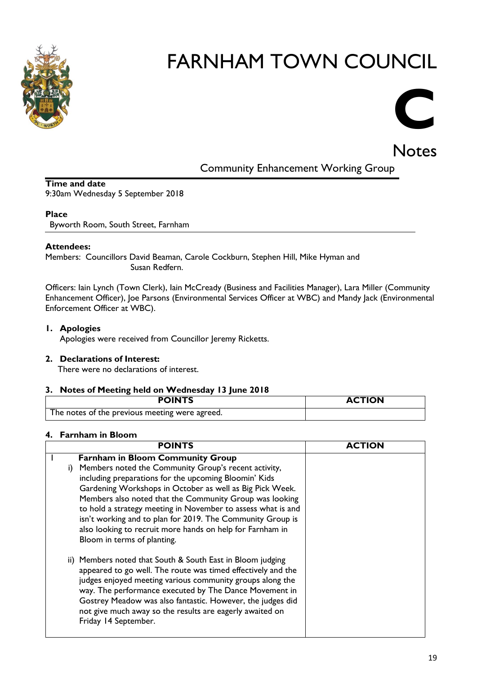



Community Enhancement Working Group

#### **Time and date**

9:30am Wednesday 5 September 2018

#### **Place**

Byworth Room, South Street, Farnham

#### **Attendees:**

Members: Councillors David Beaman, Carole Cockburn, Stephen Hill, Mike Hyman and Susan Redfern.

Officers: Iain Lynch (Town Clerk), Iain McCready (Business and Facilities Manager), Lara Miller (Community Enhancement Officer), Joe Parsons (Environmental Services Officer at WBC) and Mandy Jack (Environmental Enforcement Officer at WBC).

#### **1. Apologies**

Apologies were received from Councillor Jeremy Ricketts.

#### **2. Declarations of Interest:**

There were no declarations of interest.

#### **3. Notes of Meeting held on Wednesday 13 June 2018**

| <b>POINTS</b>                                    | <b>ACTION</b> |
|--------------------------------------------------|---------------|
| . The notes of the previous meeting were agreed. |               |

#### **4. Farnham in Bloom**

| <b>POINTS</b>                                                                                                                                                                                                                                                                                                                                                                                                                                                                                                   | <b>ACTION</b> |
|-----------------------------------------------------------------------------------------------------------------------------------------------------------------------------------------------------------------------------------------------------------------------------------------------------------------------------------------------------------------------------------------------------------------------------------------------------------------------------------------------------------------|---------------|
| <b>Farnham in Bloom Community Group</b><br>Members noted the Community Group's recent activity,<br>i)<br>including preparations for the upcoming Bloomin' Kids<br>Gardening Workshops in October as well as Big Pick Week.<br>Members also noted that the Community Group was looking<br>to hold a strategy meeting in November to assess what is and<br>isn't working and to plan for 2019. The Community Group is<br>also looking to recruit more hands on help for Farnham in<br>Bloom in terms of planting. |               |
| ii) Members noted that South & South East in Bloom judging<br>appeared to go well. The route was timed effectively and the<br>judges enjoyed meeting various community groups along the<br>way. The performance executed by The Dance Movement in<br>Gostrey Meadow was also fantastic. However, the judges did<br>not give much away so the results are eagerly awaited on<br>Friday 14 September.                                                                                                             |               |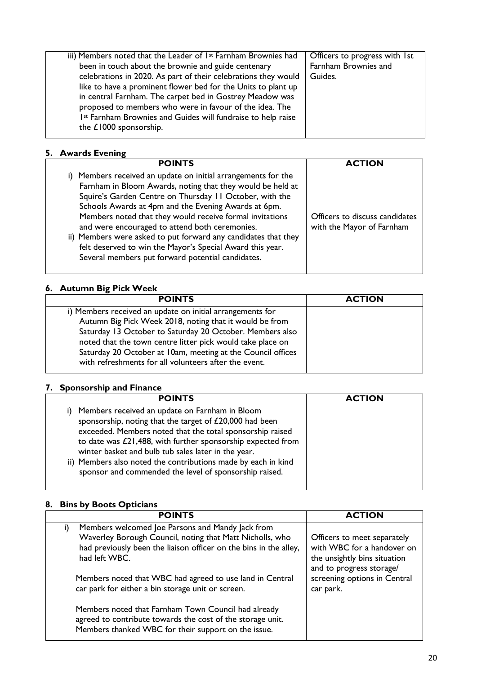| iii) Members noted that the Leader of 1 <sup>st</sup> Farnham Brownies had | Officers to progress with 1st |
|----------------------------------------------------------------------------|-------------------------------|
| been in touch about the brownie and guide centenary                        | Farnham Brownies and          |
| celebrations in 2020. As part of their celebrations they would             | Guides.                       |
| like to have a prominent flower bed for the Units to plant up              |                               |
| in central Farnham. The carpet bed in Gostrey Meadow was                   |                               |
| proposed to members who were in favour of the idea. The                    |                               |
| 1st Farnham Brownies and Guides will fundraise to help raise               |                               |
| the £1000 sponsorship.                                                     |                               |
|                                                                            |                               |

#### **5. Awards Evening**

| <b>POINTS</b>                                                                                                                                                                                                                                                                                                                                                                                                                                                                                                                                    | <b>ACTION</b>                                               |
|--------------------------------------------------------------------------------------------------------------------------------------------------------------------------------------------------------------------------------------------------------------------------------------------------------------------------------------------------------------------------------------------------------------------------------------------------------------------------------------------------------------------------------------------------|-------------------------------------------------------------|
| i) Members received an update on initial arrangements for the<br>Farnham in Bloom Awards, noting that they would be held at<br>Squire's Garden Centre on Thursday II October, with the<br>Schools Awards at 4pm and the Evening Awards at 6pm.<br>Members noted that they would receive formal invitations<br>and were encouraged to attend both ceremonies.<br>ii) Members were asked to put forward any candidates that they<br>felt deserved to win the Mayor's Special Award this year.<br>Several members put forward potential candidates. | Officers to discuss candidates<br>with the Mayor of Farnham |

# **6. Autumn Big Pick Week**

| <b>POINTS</b>                                               | <b>ACTION</b> |
|-------------------------------------------------------------|---------------|
| i) Members received an update on initial arrangements for   |               |
| Autumn Big Pick Week 2018, noting that it would be from     |               |
| Saturday 13 October to Saturday 20 October. Members also    |               |
| noted that the town centre litter pick would take place on  |               |
| Saturday 20 October at 10am, meeting at the Council offices |               |
| with refreshments for all volunteers after the event.       |               |

#### **7. Sponsorship and Finance**

| <b>POINTS</b>                                                                                                                                                                                                                                                                                                                                                                                                           | <b>ACTION</b> |
|-------------------------------------------------------------------------------------------------------------------------------------------------------------------------------------------------------------------------------------------------------------------------------------------------------------------------------------------------------------------------------------------------------------------------|---------------|
| Members received an update on Farnham in Bloom<br>sponsorship, noting that the target of £20,000 had been<br>exceeded. Members noted that the total sponsorship raised<br>to date was £21,488, with further sponsorship expected from<br>winter basket and bulb tub sales later in the year.<br>ii) Members also noted the contributions made by each in kind<br>sponsor and commended the level of sponsorship raised. |               |

# **8. Bins by Boots Opticians**

| <b>POINTS</b>                                                     | <b>ACTION</b>                |
|-------------------------------------------------------------------|------------------------------|
| Members welcomed Joe Parsons and Mandy Jack from                  |                              |
| Waverley Borough Council, noting that Matt Nicholls, who          | Officers to meet separately  |
| had previously been the liaison officer on the bins in the alley, | with WBC for a handover on   |
| had left WBC.                                                     | the unsightly bins situation |
|                                                                   | and to progress storage/     |
| Members noted that WBC had agreed to use land in Central          | screening options in Central |
| car park for either a bin storage unit or screen.                 | car park.                    |
|                                                                   |                              |
| Members noted that Farnham Town Council had already               |                              |
| agreed to contribute towards the cost of the storage unit.        |                              |
| Members thanked WBC for their support on the issue.               |                              |
|                                                                   |                              |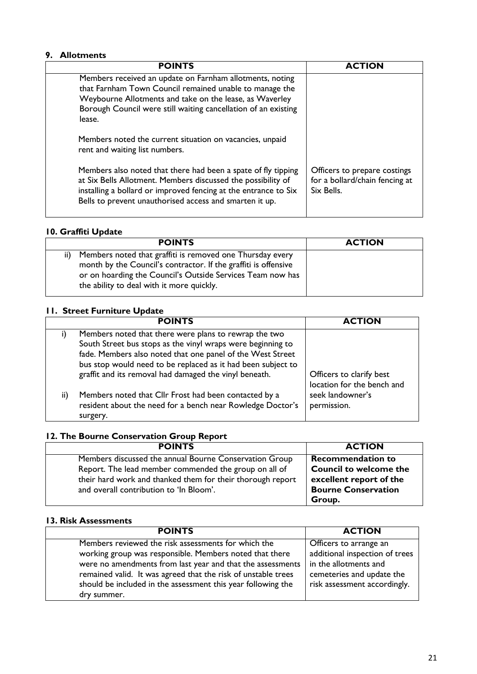#### **9. Allotments**

| <b>POINTS</b>                                                                                                                                                                                                                                               | <b>ACTION</b>                                                                |
|-------------------------------------------------------------------------------------------------------------------------------------------------------------------------------------------------------------------------------------------------------------|------------------------------------------------------------------------------|
| Members received an update on Farnham allotments, noting<br>that Farnham Town Council remained unable to manage the<br>Weybourne Allotments and take on the lease, as Waverley<br>Borough Council were still waiting cancellation of an existing<br>lease.  |                                                                              |
| Members noted the current situation on vacancies, unpaid<br>rent and waiting list numbers.                                                                                                                                                                  |                                                                              |
| Members also noted that there had been a spate of fly tipping<br>at Six Bells Allotment. Members discussed the possibility of<br>installing a bollard or improved fencing at the entrance to Six<br>Bells to prevent unauthorised access and smarten it up. | Officers to prepare costings<br>for a bollard/chain fencing at<br>Six Bells. |

#### **10. Graffiti Update**

| <b>POINTS</b>                                                                                                                                                                                                                                  | <b>ACTION</b> |
|------------------------------------------------------------------------------------------------------------------------------------------------------------------------------------------------------------------------------------------------|---------------|
| Members noted that graffiti is removed one Thursday every<br>ii)<br>month by the Council's contractor. If the graffiti is offensive<br>or on hoarding the Council's Outside Services Team now has<br>the ability to deal with it more quickly. |               |

### **11. Street Furniture Update**

|     | <b>POINTS</b>                                                                                                                                                                                                                                      |                                                        |
|-----|----------------------------------------------------------------------------------------------------------------------------------------------------------------------------------------------------------------------------------------------------|--------------------------------------------------------|
| I)  | Members noted that there were plans to rewrap the two<br>South Street bus stops as the vinyl wraps were beginning to<br>fade. Members also noted that one panel of the West Street<br>bus stop would need to be replaced as it had been subject to |                                                        |
|     | graffit and its removal had damaged the vinyl beneath.                                                                                                                                                                                             | Officers to clarify best<br>location for the bench and |
| ii) | Members noted that Cllr Frost had been contacted by a<br>resident about the need for a bench near Rowledge Doctor's<br>surgery.                                                                                                                    | seek landowner's<br>permission.                        |

# **12. The Bourne Conservation Group Report**

| <b>POINTS</b>                                              | <b>ACTION</b>                 |
|------------------------------------------------------------|-------------------------------|
| Members discussed the annual Bourne Conservation Group     | <b>Recommendation to</b>      |
| Report. The lead member commended the group on all of      | <b>Council to welcome the</b> |
| their hard work and thanked them for their thorough report | excellent report of the       |
| and overall contribution to 'In Bloom'.                    | <b>Bourne Conservation</b>    |
|                                                            | Group.                        |

#### **13. Risk Assessments**

| <b>POINTS</b>                                                                                                                                                                                                                                                                                                                | <b>ACTION</b>                                                                                                                                  |
|------------------------------------------------------------------------------------------------------------------------------------------------------------------------------------------------------------------------------------------------------------------------------------------------------------------------------|------------------------------------------------------------------------------------------------------------------------------------------------|
| Members reviewed the risk assessments for which the<br>working group was responsible. Members noted that there<br>were no amendments from last year and that the assessments<br>remained valid. It was agreed that the risk of unstable trees<br>should be included in the assessment this year following the<br>dry summer. | Officers to arrange an<br>additional inspection of trees<br>in the allotments and<br>cemeteries and update the<br>risk assessment accordingly. |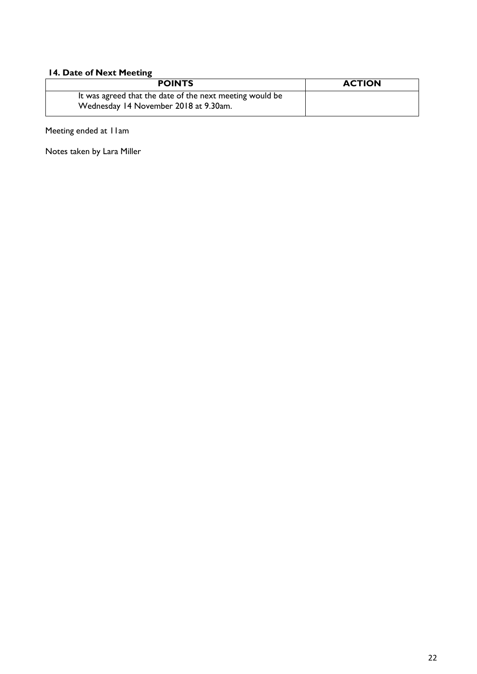### **14. Date of Next Meeting**

| <b>POINTS</b>                                                                                     | <b>ACTION</b> |
|---------------------------------------------------------------------------------------------------|---------------|
| It was agreed that the date of the next meeting would be<br>Wednesday 14 November 2018 at 9.30am. |               |

Meeting ended at 11am

Notes taken by Lara Miller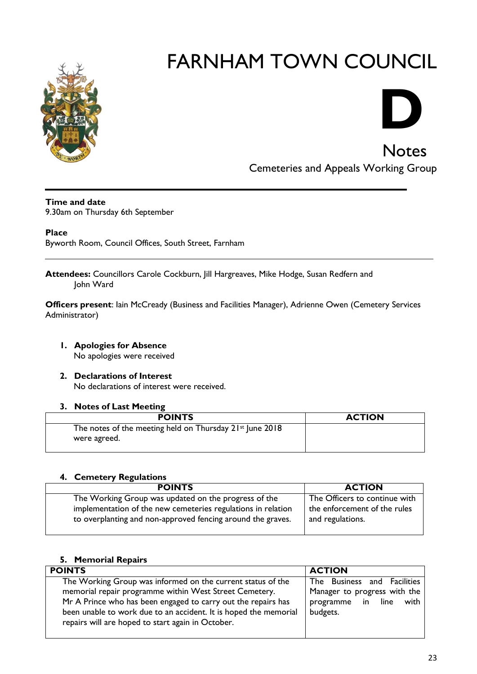



**Notes** Cemeteries and Appeals Working Group

**Time and date**

9.30am on Thursday 6th September

**Place**

Byworth Room, Council Offices, South Street, Farnham

**Attendees:** Councillors Carole Cockburn, Jill Hargreaves, Mike Hodge, Susan Redfern and John Ward

**Officers present**: Iain McCready (Business and Facilities Manager), Adrienne Owen (Cemetery Services Administrator)

- **1. Apologies for Absence**  No apologies were received
- **2. Declarations of Interest** No declarations of interest were received.

#### **3. Notes of Last Meeting**

| <b>POINTS</b>                                                            | <b>ACTION</b> |
|--------------------------------------------------------------------------|---------------|
| The notes of the meeting held on Thursday 21st June 2018<br>were agreed. |               |
|                                                                          |               |

#### **4. Cemetery Regulations**

| <b>POINTS</b>                                                                                                               | <b>ACTION</b>                                    |
|-----------------------------------------------------------------------------------------------------------------------------|--------------------------------------------------|
| The Working Group was updated on the progress of the                                                                        | The Officers to continue with                    |
| implementation of the new cemeteries regulations in relation<br>to overplanting and non-approved fencing around the graves. | the enforcement of the rules<br>and regulations. |

### **5. Memorial Repairs**

| <b>POINTS</b>                                                    | <b>ACTION</b>                |
|------------------------------------------------------------------|------------------------------|
| The Working Group was informed on the current status of the      | The Business and Facilities  |
| memorial repair programme within West Street Cemetery.           | Manager to progress with the |
| Mr A Prince who has been engaged to carry out the repairs has    | programme in line with       |
| been unable to work due to an accident. It is hoped the memorial | budgets.                     |
| repairs will are hoped to start again in October.                |                              |
|                                                                  |                              |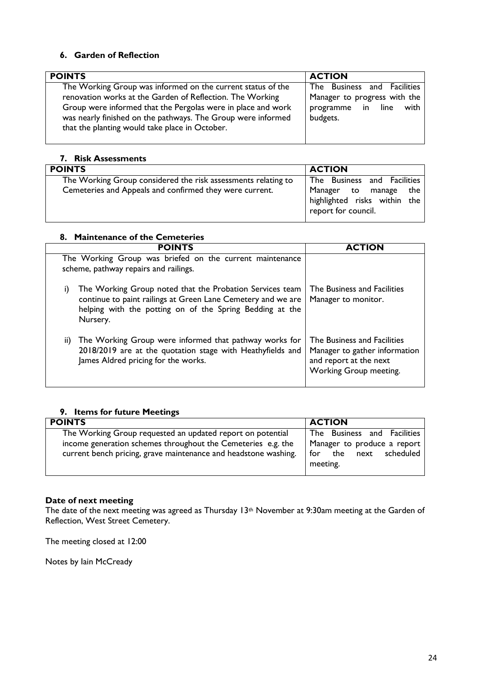#### **6. Garden of Reflection**

| <b>POINTS</b>                                                | <b>ACTION</b>                |
|--------------------------------------------------------------|------------------------------|
| The Working Group was informed on the current status of the  | The Business and Facilities  |
| renovation works at the Garden of Reflection. The Working    | Manager to progress with the |
| Group were informed that the Pergolas were in place and work | programme in line            |
| was nearly finished on the pathways. The Group were informed | with                         |
| that the planting would take place in October.               | budgets.                     |

#### **7. Risk Assessments**

| <b>POINTS</b>                                                                                                            | <b>ACTION</b>                                                                                               |
|--------------------------------------------------------------------------------------------------------------------------|-------------------------------------------------------------------------------------------------------------|
| The Working Group considered the risk assessments relating to<br>Cemeteries and Appeals and confirmed they were current. | The Business and Facilities<br>Manager to manage the<br>highlighted risks within the<br>report for council. |

#### **8. Maintenance of the Cemeteries**

|     | <b>POINTS</b>                                                                                                                                                                                    | <b>ACTION</b>                                                                                                    |
|-----|--------------------------------------------------------------------------------------------------------------------------------------------------------------------------------------------------|------------------------------------------------------------------------------------------------------------------|
|     | The Working Group was briefed on the current maintenance<br>scheme, pathway repairs and railings.                                                                                                |                                                                                                                  |
| i)  | The Working Group noted that the Probation Services team<br>continue to paint railings at Green Lane Cemetery and we are<br>helping with the potting on of the Spring Bedding at the<br>Nursery. | The Business and Facilities<br>Manager to monitor.                                                               |
| ii) | The Working Group were informed that pathway works for<br>2018/2019 are at the quotation stage with Heathyfields and<br>James Aldred pricing for the works.                                      | The Business and Facilities<br>Manager to gather information<br>and report at the next<br>Working Group meeting. |

#### **9. Items for future Meetings**

| <b>POINTS</b>                                                                                                              | <b>ACTION</b>                                              |
|----------------------------------------------------------------------------------------------------------------------------|------------------------------------------------------------|
| The Working Group requested an updated report on potential<br>income generation schemes throughout the Cemeteries e.g. the | The Business and Facilities<br>Manager to produce a report |
| current bench pricing, grave maintenance and headstone washing.                                                            | for the next scheduled                                     |
|                                                                                                                            | meeting.                                                   |

#### **Date of next meeting**

The date of the next meeting was agreed as Thursday 13th November at 9:30am meeting at the Garden of Reflection, West Street Cemetery.

The meeting closed at 12:00

Notes by Iain McCready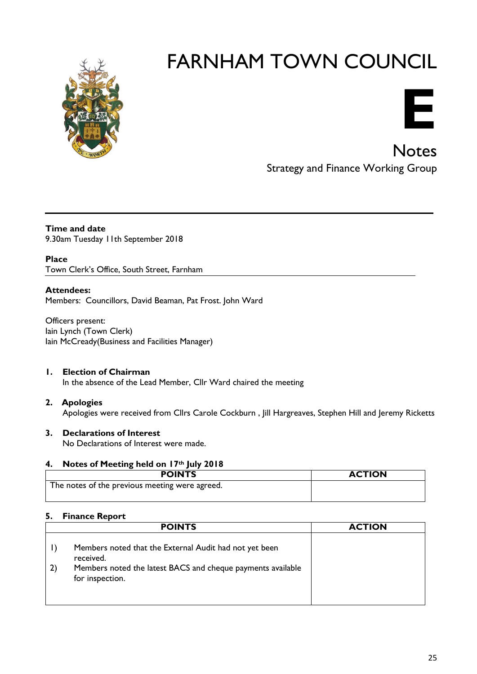



**Notes** Strategy and Finance Working Group

**Time and date** 9.30am Tuesday 11th September 2018

**Place** Town Clerk's Office, South Street, Farnham

#### **Attendees:**

Members: Councillors, David Beaman, Pat Frost. John Ward

Officers present: Iain Lynch (Town Clerk) Iain McCready(Business and Facilities Manager)

#### **1. Election of Chairman**

In the absence of the Lead Member, Cllr Ward chaired the meeting

**2. Apologies** Apologies were received from Cllrs Carole Cockburn , Jill Hargreaves, Stephen Hill and Jeremy Ricketts

#### **3. Declarations of Interest**

No Declarations of Interest were made.

#### **4. Notes of Meeting held on 17th July 2018**

| <b>POINTS</b>                                  | <b>ACTION</b> |
|------------------------------------------------|---------------|
| The notes of the previous meeting were agreed. |               |

#### **5. Finance Report**

|                              | <b>POINTS</b>                                                                  | <b>ACTION</b> |
|------------------------------|--------------------------------------------------------------------------------|---------------|
|                              | Members noted that the External Audit had not yet been<br>received.            |               |
| $\left( \frac{2}{2} \right)$ | Members noted the latest BACS and cheque payments available<br>for inspection. |               |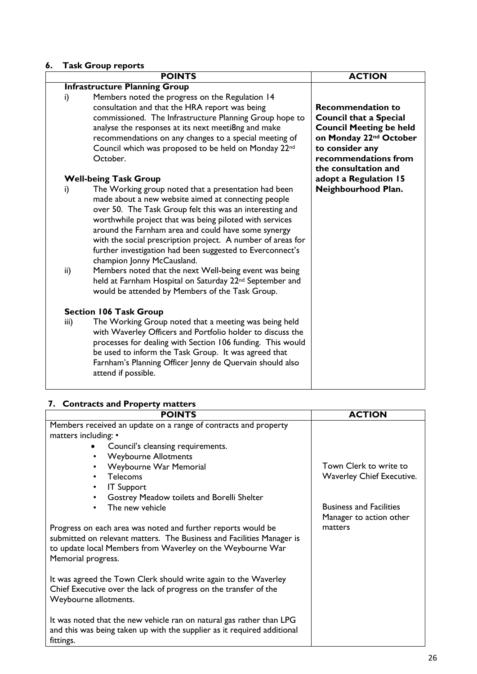# **6. Task Group reports**

|           | <b>POINTS</b>                                                                                                                                                                                                                                                                                                                                                                                                                                                                                                 | <b>ACTION</b>                                                                                                                                                                                        |
|-----------|---------------------------------------------------------------------------------------------------------------------------------------------------------------------------------------------------------------------------------------------------------------------------------------------------------------------------------------------------------------------------------------------------------------------------------------------------------------------------------------------------------------|------------------------------------------------------------------------------------------------------------------------------------------------------------------------------------------------------|
|           | <b>Infrastructure Planning Group</b>                                                                                                                                                                                                                                                                                                                                                                                                                                                                          |                                                                                                                                                                                                      |
| i)        | Members noted the progress on the Regulation 14<br>consultation and that the HRA report was being<br>commissioned. The Infrastructure Planning Group hope to<br>analyse the responses at its next meeti8ng and make<br>recommendations on any changes to a special meeting of<br>Council which was proposed to be held on Monday 22 <sup>nd</sup><br>October.                                                                                                                                                 | <b>Recommendation to</b><br><b>Council that a Special</b><br><b>Council Meeting be held</b><br>on Monday 22 <sup>nd</sup> October<br>to consider any<br>recommendations from<br>the consultation and |
|           | <b>Well-being Task Group</b>                                                                                                                                                                                                                                                                                                                                                                                                                                                                                  | adopt a Regulation 15                                                                                                                                                                                |
| i)<br>ii) | The Working group noted that a presentation had been<br>made about a new website aimed at connecting people<br>over 50. The Task Group felt this was an interesting and<br>worthwhile project that was being piloted with services<br>around the Farnham area and could have some synergy<br>with the social prescription project. A number of areas for<br>further investigation had been suggested to Everconnect's<br>champion Jonny McCausland.<br>Members noted that the next Well-being event was being | Neighbourhood Plan.                                                                                                                                                                                  |
|           | held at Farnham Hospital on Saturday 22 <sup>nd</sup> September and<br>would be attended by Members of the Task Group.                                                                                                                                                                                                                                                                                                                                                                                        |                                                                                                                                                                                                      |
|           | <b>Section 106 Task Group</b>                                                                                                                                                                                                                                                                                                                                                                                                                                                                                 |                                                                                                                                                                                                      |
| iii)      | The Working Group noted that a meeting was being held<br>with Waverley Officers and Portfolio holder to discuss the<br>processes for dealing with Section 106 funding. This would<br>be used to inform the Task Group. It was agreed that<br>Farnham's Planning Officer Jenny de Quervain should also<br>attend if possible.                                                                                                                                                                                  |                                                                                                                                                                                                      |

# **7. Contracts and Property matters**

| <b>POINTS</b>                                                                                                                                                                                                             | <b>ACTION</b>                  |
|---------------------------------------------------------------------------------------------------------------------------------------------------------------------------------------------------------------------------|--------------------------------|
| Members received an update on a range of contracts and property                                                                                                                                                           |                                |
| matters including: •                                                                                                                                                                                                      |                                |
| Council's cleansing requirements.                                                                                                                                                                                         |                                |
| <b>Weybourne Allotments</b><br>$\bullet$                                                                                                                                                                                  |                                |
| Weybourne War Memorial<br>$\bullet$                                                                                                                                                                                       | Town Clerk to write to         |
| <b>Telecoms</b><br>$\bullet$                                                                                                                                                                                              | Waverley Chief Executive.      |
| <b>IT Support</b><br>$\bullet$                                                                                                                                                                                            |                                |
| Gostrey Meadow toilets and Borelli Shelter<br>$\bullet$                                                                                                                                                                   |                                |
| The new vehicle<br>$\bullet$                                                                                                                                                                                              | <b>Business and Facilities</b> |
|                                                                                                                                                                                                                           | Manager to action other        |
| Progress on each area was noted and further reports would be<br>submitted on relevant matters. The Business and Facilities Manager is<br>to update local Members from Waverley on the Weybourne War<br>Memorial progress. | matters                        |
| It was agreed the Town Clerk should write again to the Waverley<br>Chief Executive over the lack of progress on the transfer of the<br>Weybourne allotments.                                                              |                                |
| It was noted that the new vehicle ran on natural gas rather than LPG<br>and this was being taken up with the supplier as it required additional<br>fittings.                                                              |                                |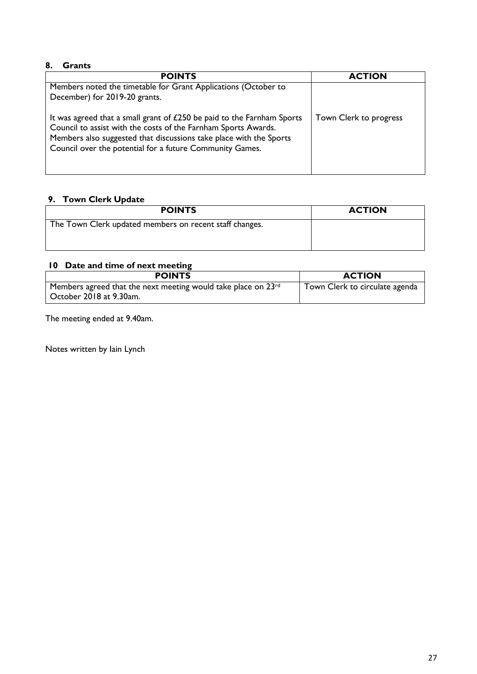#### **8. Grants**

| <b>POINTS</b>                                                                                                                                                                                                                                                              | <b>ACTION</b>          |
|----------------------------------------------------------------------------------------------------------------------------------------------------------------------------------------------------------------------------------------------------------------------------|------------------------|
| Members noted the timetable for Grant Applications (October to<br>December) for 2019-20 grants.                                                                                                                                                                            |                        |
| It was agreed that a small grant of £250 be paid to the Farnham Sports<br>Council to assist with the costs of the Farnham Sports Awards.<br>Members also suggested that discussions take place with the Sports<br>Council over the potential for a future Community Games. | Town Clerk to progress |

# **9. Town Clerk Update**

| <b>POINTS</b>                                           | <b>ACTION</b> |
|---------------------------------------------------------|---------------|
| The Town Clerk updated members on recent staff changes. |               |
|                                                         |               |

# **10 Date and time of next meeting**

| <b>POINTS</b>                                                                                        | <b>ACTION</b>                  |
|------------------------------------------------------------------------------------------------------|--------------------------------|
| Members agreed that the next meeting would take place on 23 <sup>rd</sup><br>October 2018 at 9.30am. | Town Clerk to circulate agenda |

The meeting ended at 9.40am.

Notes written by Iain Lynch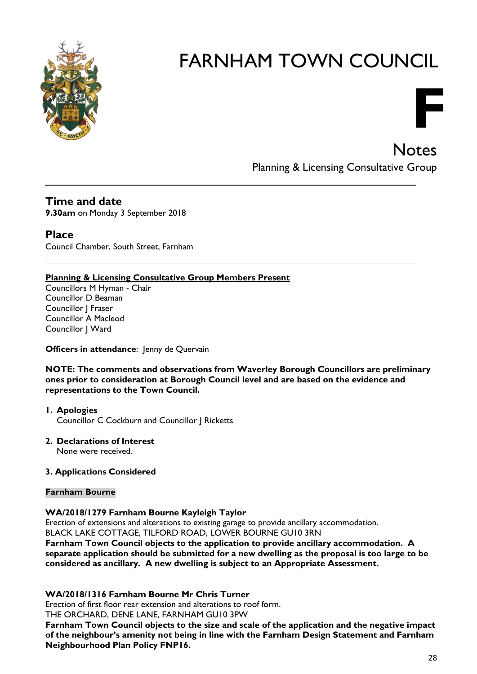



**Notes** Planning & Licensing Consultative Group

# **Time and date**

**9.30am** on Monday 3 September 2018

# **Place**

Council Chamber, South Street, Farnham

#### **Planning & Licensing Consultative Group Members Present**

Councillors M Hyman - Chair Councillor D Beaman Councillor J Fraser Councillor A Macleod Councillor J Ward

#### **Officers in attendance:** Jenny de Quervain

**NOTE: The comments and observations from Waverley Borough Councillors are preliminary ones prior to consideration at Borough Council level and are based on the evidence and representations to the Town Council.**

**1. Apologies** Councillor C Cockburn and Councillor J Ricketts

#### **2. Declarations of Interest** None were received.

#### **3. Applications Considered**

#### **Farnham Bourne**

#### **WA/2018/1279 Farnham Bourne Kayleigh Taylor**

Erection of extensions and alterations to existing garage to provide ancillary accommodation. BLACK LAKE COTTAGE, TILFORD ROAD, LOWER BOURNE GU10 3RN

**Farnham Town Council objects to the application to provide ancillary accommodation. A separate application should be submitted for a new dwelling as the proposal is too large to be considered as ancillary. A new dwelling is subject to an Appropriate Assessment.**

#### **WA/2018/1316 Farnham Bourne Mr Chris Turner**

Erection of first floor rear extension and alterations to roof form.

THE ORCHARD, DENE LANE, FARNHAM GU10 3PW

**Farnham Town Council objects to the size and scale of the application and the negative impact of the neighbour's amenity not being in line with the Farnham Design Statement and Farnham Neighbourhood Plan Policy FNP16.**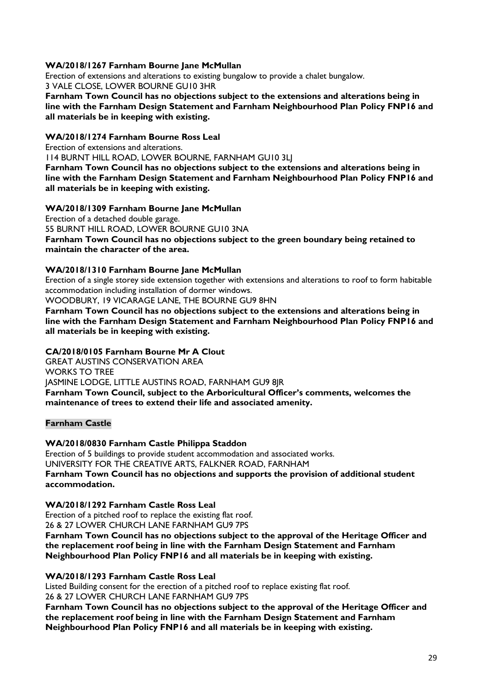#### **WA/2018/1267 Farnham Bourne Jane McMullan**

Erection of extensions and alterations to existing bungalow to provide a chalet bungalow. 3 VALE CLOSE, LOWER BOURNE GU10 3HR

**Farnham Town Council has no objections subject to the extensions and alterations being in line with the Farnham Design Statement and Farnham Neighbourhood Plan Policy FNP16 and all materials be in keeping with existing.**

#### **WA/2018/1274 Farnham Bourne Ross Leal**

Erection of extensions and alterations.

114 BURNT HILL ROAD, LOWER BOURNE, FARNHAM GU10 3LJ

**Farnham Town Council has no objections subject to the extensions and alterations being in line with the Farnham Design Statement and Farnham Neighbourhood Plan Policy FNP16 and all materials be in keeping with existing.**

#### **WA/2018/1309 Farnham Bourne Jane McMullan**

Erection of a detached double garage. 55 BURNT HILL ROAD, LOWER BOURNE GU10 3NA **Farnham Town Council has no objections subject to the green boundary being retained to maintain the character of the area.**

#### **WA/2018/1310 Farnham Bourne Jane McMullan**

Erection of a single storey side extension together with extensions and alterations to roof to form habitable accommodation including installation of dormer windows.

WOODBURY, 19 VICARAGE LANE, THE BOURNE GU9 8HN

**Farnham Town Council has no objections subject to the extensions and alterations being in line with the Farnham Design Statement and Farnham Neighbourhood Plan Policy FNP16 and all materials be in keeping with existing.**

#### **CA/2018/0105 Farnham Bourne Mr A Clout**

GREAT AUSTINS CONSERVATION AREA WORKS TO TREE JASMINE LODGE, LITTLE AUSTINS ROAD, FARNHAM GU9 8JR **Farnham Town Council, subject to the Arboricultural Officer's comments, welcomes the maintenance of trees to extend their life and associated amenity.**

#### **Farnham Castle**

#### **WA/2018/0830 Farnham Castle Philippa Staddon**

Erection of 5 buildings to provide student accommodation and associated works. UNIVERSITY FOR THE CREATIVE ARTS, FALKNER ROAD, FARNHAM **Farnham Town Council has no objections and supports the provision of additional student accommodation.**

#### **WA/2018/1292 Farnham Castle Ross Leal**

Erection of a pitched roof to replace the existing flat roof. 26 & 27 LOWER CHURCH LANE FARNHAM GU9 7PS

**Farnham Town Council has no objections subject to the approval of the Heritage Officer and the replacement roof being in line with the Farnham Design Statement and Farnham Neighbourhood Plan Policy FNP16 and all materials be in keeping with existing.**

#### **WA/2018/1293 Farnham Castle Ross Leal**

Listed Building consent for the erection of a pitched roof to replace existing flat roof. 26 & 27 LOWER CHURCH LANE FARNHAM GU9 7PS

**Farnham Town Council has no objections subject to the approval of the Heritage Officer and the replacement roof being in line with the Farnham Design Statement and Farnham Neighbourhood Plan Policy FNP16 and all materials be in keeping with existing.**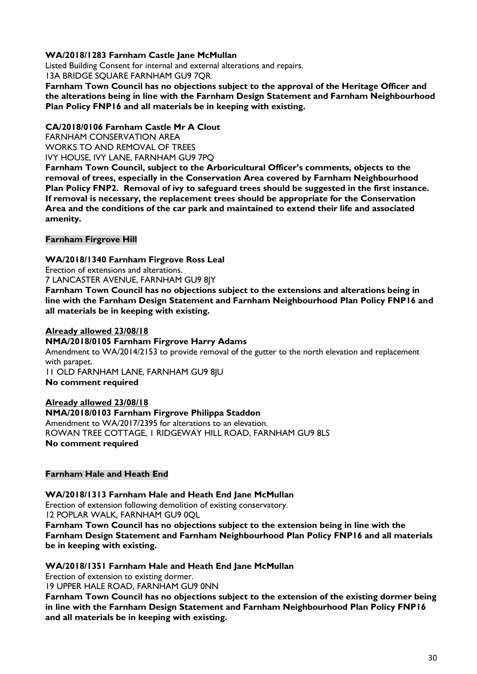#### **WA/2018/1283 Farnham Castle Jane McMullan**

Listed Building Consent for internal and external alterations and repairs.

13A BRIDGE SQUARE FARNHAM GU9 7QR

**Farnham Town Council has no objections subject to the approval of the Heritage Officer and the alterations being in line with the Farnham Design Statement and Farnham Neighbourhood Plan Policy FNP16 and all materials be in keeping with existing.**

#### **CA/2018/0106 Farnham Castle Mr A Clout**

FARNHAM CONSERVATION AREA WORKS TO AND REMOVAL OF TREES IVY HOUSE, IVY LANE, FARNHAM GU9 7PQ

**Farnham Town Council, subject to the Arboricultural Officer's comments, objects to the removal of trees, especially in the Conservation Area covered by Farnham Neighbourhood Plan Policy FNP2. Removal of ivy to safeguard trees should be suggested in the first instance. If removal is necessary, the replacement trees should be appropriate for the Conservation Area and the conditions of the car park and maintained to extend their life and associated amenity.**

#### **Farnham Firgrove Hill**

#### **WA/2018/1340 Farnham Firgrove Ross Leal**

Erection of extensions and alterations.

7 LANCASTER AVENUE, FARNHAM GU9 8JY

**Farnham Town Council has no objections subject to the extensions and alterations being in line with the Farnham Design Statement and Farnham Neighbourhood Plan Policy FNP16 and all materials be in keeping with existing.**

#### **Already allowed 23/08/18**

#### **NMA/2018/0105 Farnham Firgrove Harry Adams**

Amendment to WA/2014/2153 to provide removal of the gutter to the north elevation and replacement with parapet.

11 OLD FARNHAM LANE, FARNHAM GU9 8JU **No comment required**

#### **Already allowed 23/08/18**

#### **NMA/2018/0103 Farnham Firgrove Philippa Staddon**

Amendment to WA/2017/2395 for alterations to an elevation. ROWAN TREE COTTAGE, 1 RIDGEWAY HILL ROAD, FARNHAM GU9 8LS **No comment required**

#### **Farnham Hale and Heath End**

#### **WA/2018/1313 Farnham Hale and Heath End Jane McMullan**

Erection of extension following demolition of existing conservatory. 12 POPLAR WALK, FARNHAM GU9 0QL

**Farnham Town Council has no objections subject to the extension being in line with the Farnham Design Statement and Farnham Neighbourhood Plan Policy FNP16 and all materials be in keeping with existing.**

#### **WA/2018/1351 Farnham Hale and Heath End Jane McMullan**

Erection of extension to existing dormer.

19 UPPER HALE ROAD, FARNHAM GU9 0NN

**Farnham Town Council has no objections subject to the extension of the existing dormer being in line with the Farnham Design Statement and Farnham Neighbourhood Plan Policy FNP16 and all materials be in keeping with existing.**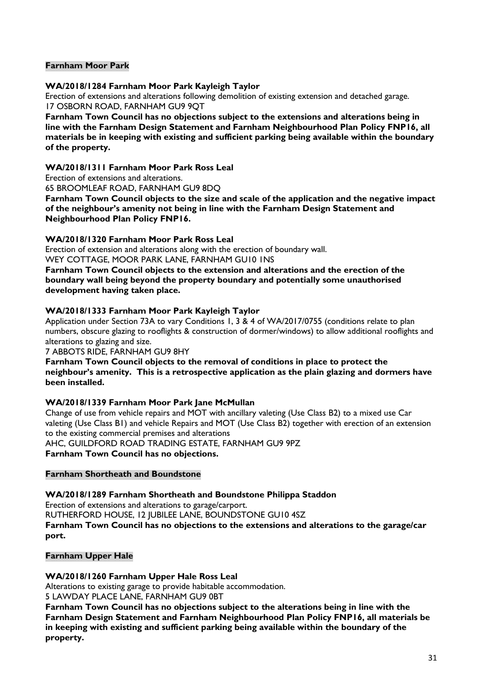#### **Farnham Moor Park**

#### **WA/2018/1284 Farnham Moor Park Kayleigh Taylor**

Erection of extensions and alterations following demolition of existing extension and detached garage. 17 OSBORN ROAD, FARNHAM GU9 9QT

**Farnham Town Council has no objections subject to the extensions and alterations being in line with the Farnham Design Statement and Farnham Neighbourhood Plan Policy FNP16, all materials be in keeping with existing and sufficient parking being available within the boundary of the property.**

#### **WA/2018/1311 Farnham Moor Park Ross Leal**

Erection of extensions and alterations.

65 BROOMLEAF ROAD, FARNHAM GU9 8DQ

**Farnham Town Council objects to the size and scale of the application and the negative impact of the neighbour's amenity not being in line with the Farnham Design Statement and Neighbourhood Plan Policy FNP16.**

#### **WA/2018/1320 Farnham Moor Park Ross Leal**

Erection of extension and alterations along with the erection of boundary wall. WEY COTTAGE, MOOR PARK LANE, FARNHAM GU10 1NS

**Farnham Town Council objects to the extension and alterations and the erection of the boundary wall being beyond the property boundary and potentially some unauthorised development having taken place.**

#### **WA/2018/1333 Farnham Moor Park Kayleigh Taylor**

Application under Section 73A to vary Conditions 1, 3 & 4 of WA/2017/0755 (conditions relate to plan numbers, obscure glazing to rooflights & construction of dormer/windows) to allow additional rooflights and alterations to glazing and size.

#### 7 ABBOTS RIDE, FARNHAM GU9 8HY

**Farnham Town Council objects to the removal of conditions in place to protect the neighbour's amenity. This is a retrospective application as the plain glazing and dormers have been installed.**

#### **WA/2018/1339 Farnham Moor Park Jane McMullan**

Change of use from vehicle repairs and MOT with ancillary valeting (Use Class B2) to a mixed use Car valeting (Use Class B1) and vehicle Repairs and MOT (Use Class B2) together with erection of an extension to the existing commercial premises and alterations AHC, GUILDFORD ROAD TRADING ESTATE, FARNHAM GU9 9PZ

**Farnham Town Council has no objections.**

#### **Farnham Shortheath and Boundstone**

#### **WA/2018/1289 Farnham Shortheath and Boundstone Philippa Staddon**

Erection of extensions and alterations to garage/carport. RUTHERFORD HOUSE, 12 JUBILEE LANE, BOUNDSTONE GU10 4SZ **Farnham Town Council has no objections to the extensions and alterations to the garage/car port.**

#### **Farnham Upper Hale**

**WA/2018/1260 Farnham Upper Hale Ross Leal**

Alterations to existing garage to provide habitable accommodation. 5 LAWDAY PLACE LANE, FARNHAM GU9 0BT

**Farnham Town Council has no objections subject to the alterations being in line with the Farnham Design Statement and Farnham Neighbourhood Plan Policy FNP16, all materials be in keeping with existing and sufficient parking being available within the boundary of the property.**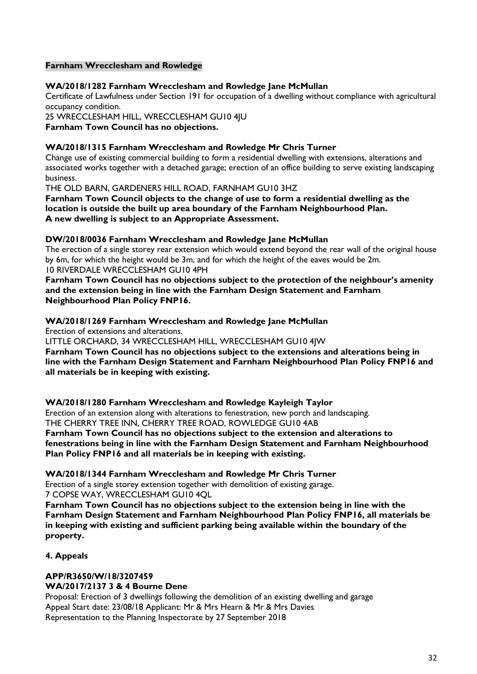#### **Farnham Wrecclesham and Rowledge**

#### **WA/2018/1282 Farnham Wrecclesham and Rowledge Jane McMullan**

Certificate of Lawfulness under Section 191 for occupation of a dwelling without compliance with agricultural occupancy condition.

25 WRECCLESHAM HILL, WRECCLESHAM GU10 4JU **Farnham Town Council has no objections.**

#### **WA/2018/1315 Farnham Wrecclesham and Rowledge Mr Chris Turner**

Change use of existing commercial building to form a residential dwelling with extensions, alterations and associated works together with a detached garage; erection of an office building to serve existing landscaping business.

THE OLD BARN, GARDENERS HILL ROAD, FARNHAM GU10 3HZ

**Farnham Town Council objects to the change of use to form a residential dwelling as the location is outside the built up area boundary of the Farnham Neighbourhood Plan. A new dwelling is subject to an Appropriate Assessment.**

#### **DW/2018/0036 Farnham Wrecclesham and Rowledge Jane McMullan**

The erection of a single storey rear extension which would extend beyond the rear wall of the original house by 6m, for which the height would be 3m, and for which the height of the eaves would be 2m. 10 RIVERDALE WRECCLESHAM GU10 4PH

**Farnham Town Council has no objections subject to the protection of the neighbour's amenity and the extension being in line with the Farnham Design Statement and Farnham Neighbourhood Plan Policy FNP16.**

#### **WA/2018/1269 Farnham Wrecclesham and Rowledge Jane McMullan**

Erection of extensions and alterations.

LITTLE ORCHARD, 34 WRECCLESHAM HILL, WRECCLESHAM GU10 4JW

**Farnham Town Council has no objections subject to the extensions and alterations being in line with the Farnham Design Statement and Farnham Neighbourhood Plan Policy FNP16 and all materials be in keeping with existing.**

#### **WA/2018/1280 Farnham Wrecclesham and Rowledge Kayleigh Taylor**

Erection of an extension along with alterations to fenestration, new porch and landscaping. THE CHERRY TREE INN, CHERRY TREE ROAD, ROWLEDGE GU10 4AB

**Farnham Town Council has no objections subject to the extension and alterations to fenestrations being in line with the Farnham Design Statement and Farnham Neighbourhood Plan Policy FNP16 and all materials be in keeping with existing.**

#### **WA/2018/1344 Farnham Wrecclesham and Rowledge Mr Chris Turner**

Erection of a single storey extension together with demolition of existing garage. 7 COPSE WAY, WRECCLESHAM GU10 4QL

**Farnham Town Council has no objections subject to the extension being in line with the Farnham Design Statement and Farnham Neighbourhood Plan Policy FNP16, all materials be in keeping with existing and sufficient parking being available within the boundary of the property.**

#### **4. Appeals**

### **APP/R3650/W/18/3207459**

#### **WA/2017/2137 3 & 4 Bourne Dene**

Proposal: Erection of 3 dwellings following the demolition of an existing dwelling and garage Appeal Start date: 23/08/18 Applicant: Mr & Mrs Hearn & Mr & Mrs Davies Representation to the Planning Inspectorate by 27 September 2018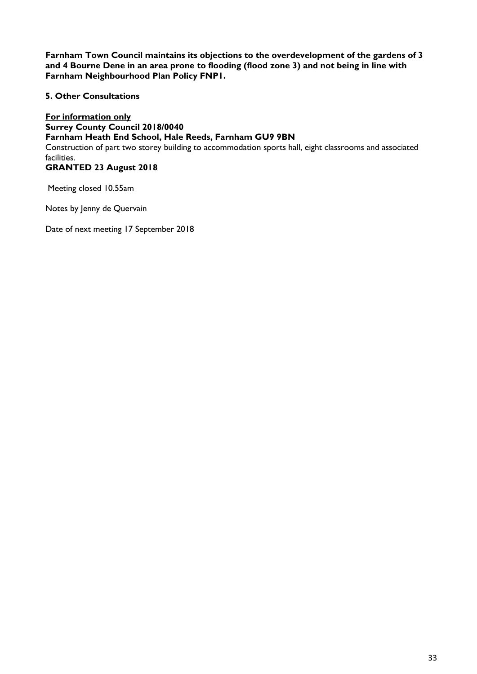**Farnham Town Council maintains its objections to the overdevelopment of the gardens of 3 and 4 Bourne Dene in an area prone to flooding (flood zone 3) and not being in line with Farnham Neighbourhood Plan Policy FNP1.**

#### **5. Other Consultations**

**For information only Surrey County Council 2018/0040 Farnham Heath End School, Hale Reeds, Farnham GU9 9BN** Construction of part two storey building to accommodation sports hall, eight classrooms and associated facilities. **GRANTED 23 August 2018**

Meeting closed 10.55am

Notes by Jenny de Quervain

Date of next meeting 17 September 2018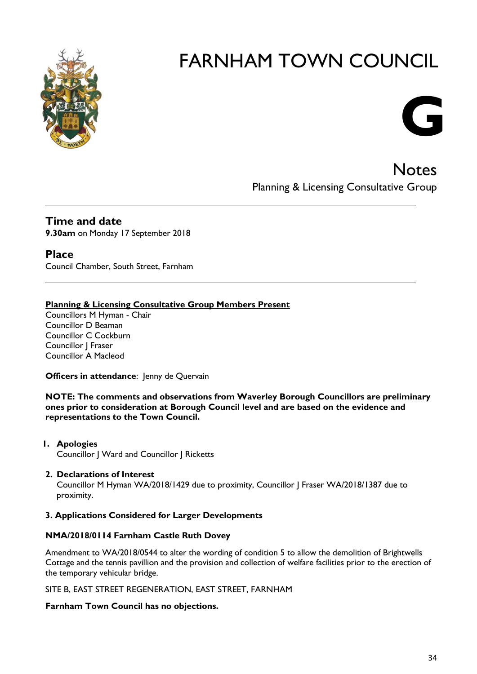

# **G**

**Notes** Planning & Licensing Consultative Group

#### **Time and date 9.30am** on Monday 17 September 2018

**Place**

Council Chamber, South Street, Farnham

#### **Planning & Licensing Consultative Group Members Present**

Councillors M Hyman - Chair Councillor D Beaman Councillor C Cockburn Councillor J Fraser Councillor A Macleod

**Officers in attendance:** Jenny de Quervain

**NOTE: The comments and observations from Waverley Borough Councillors are preliminary ones prior to consideration at Borough Council level and are based on the evidence and representations to the Town Council.**

- **1. Apologies** Councillor J Ward and Councillor J Ricketts
- **2. Declarations of Interest** Councillor M Hyman WA/2018/1429 due to proximity, Councillor J Fraser WA/2018/1387 due to proximity.

#### **3. Applications Considered for Larger Developments**

#### **NMA/2018/0114 Farnham Castle Ruth Dovey**

Amendment to WA/2018/0544 to alter the wording of condition 5 to allow the demolition of Brightwells Cottage and the tennis pavillion and the provision and collection of welfare facilities prior to the erection of the temporary vehicular bridge.

SITE B, EAST STREET REGENERATION, EAST STREET, FARNHAM

#### **Farnham Town Council has no objections.**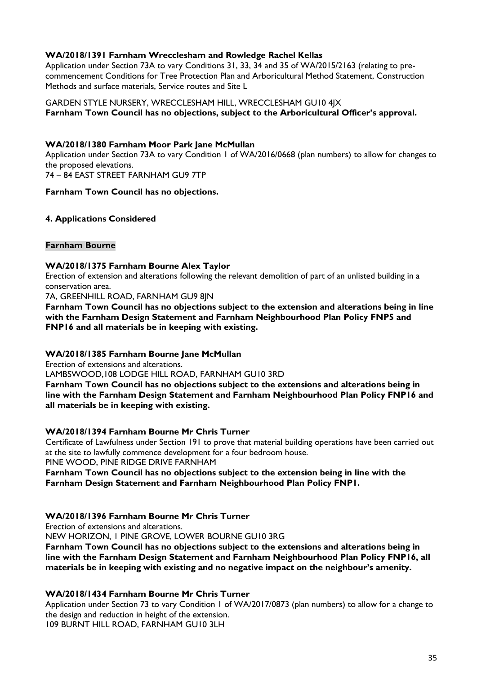#### **WA/2018/1391 Farnham Wrecclesham and Rowledge Rachel Kellas**

Application under Section 73A to vary Conditions 31, 33, 34 and 35 of WA/2015/2163 (relating to precommencement Conditions for Tree Protection Plan and Arboricultural Method Statement, Construction Methods and surface materials, Service routes and Site L

GARDEN STYLE NURSERY, WRECCLESHAM HILL, WRECCLESHAM GU10 4JX **Farnham Town Council has no objections, subject to the Arboricultural Officer's approval.**

#### **WA/2018/1380 Farnham Moor Park Jane McMullan**

Application under Section 73A to vary Condition 1 of WA/2016/0668 (plan numbers) to allow for changes to the proposed elevations.

74 – 84 EAST STREET FARNHAM GU9 7TP

#### **Farnham Town Council has no objections.**

#### **4. Applications Considered**

#### **Farnham Bourne**

#### **WA/2018/1375 Farnham Bourne Alex Taylor**

Erection of extension and alterations following the relevant demolition of part of an unlisted building in a conservation area.

7A, GREENHILL ROAD, FARNHAM GU9 8JN

**Farnham Town Council has no objections subject to the extension and alterations being in line with the Farnham Design Statement and Farnham Neighbourhood Plan Policy FNP5 and FNP16 and all materials be in keeping with existing.**

#### **WA/2018/1385 Farnham Bourne Jane McMullan**

Erection of extensions and alterations.

LAMBSWOOD,108 LODGE HILL ROAD, FARNHAM GU10 3RD

**Farnham Town Council has no objections subject to the extensions and alterations being in line with the Farnham Design Statement and Farnham Neighbourhood Plan Policy FNP16 and all materials be in keeping with existing.**

#### **WA/2018/1394 Farnham Bourne Mr Chris Turner**

Certificate of Lawfulness under Section 191 to prove that material building operations have been carried out at the site to lawfully commence development for a four bedroom house.

PINE WOOD, PINE RIDGE DRIVE FARNHAM

**Farnham Town Council has no objections subject to the extension being in line with the Farnham Design Statement and Farnham Neighbourhood Plan Policy FNP1.**

#### **WA/2018/1396 Farnham Bourne Mr Chris Turner**

Erection of extensions and alterations.

NEW HORIZON, 1 PINE GROVE, LOWER BOURNE GU10 3RG

**Farnham Town Council has no objections subject to the extensions and alterations being in line with the Farnham Design Statement and Farnham Neighbourhood Plan Policy FNP16, all materials be in keeping with existing and no negative impact on the neighbour's amenity.**

#### **WA/2018/1434 Farnham Bourne Mr Chris Turner**

Application under Section 73 to vary Condition 1 of WA/2017/0873 (plan numbers) to allow for a change to the design and reduction in height of the extension. 109 BURNT HILL ROAD, FARNHAM GU10 3LH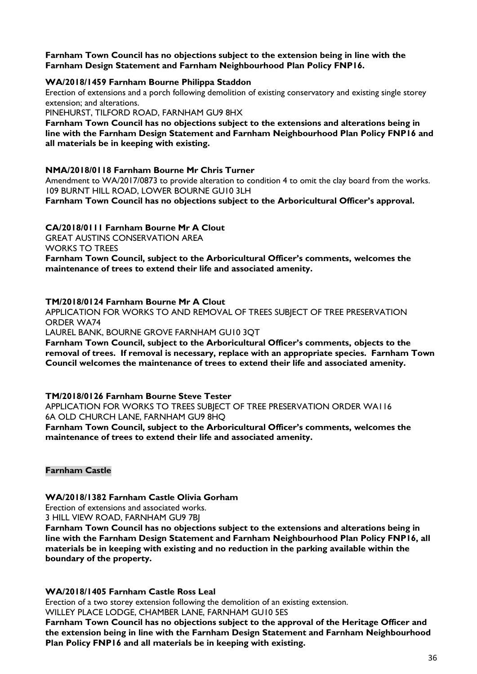**Farnham Town Council has no objections subject to the extension being in line with the Farnham Design Statement and Farnham Neighbourhood Plan Policy FNP16.**

#### **WA/2018/1459 Farnham Bourne Philippa Staddon**

Erection of extensions and a porch following demolition of existing conservatory and existing single storey extension; and alterations.

PINEHURST, TILFORD ROAD, FARNHAM GU9 8HX

**Farnham Town Council has no objections subject to the extensions and alterations being in line with the Farnham Design Statement and Farnham Neighbourhood Plan Policy FNP16 and all materials be in keeping with existing.**

#### **NMA/2018/0118 Farnham Bourne Mr Chris Turner**

Amendment to WA/2017/0873 to provide alteration to condition 4 to omit the clay board from the works. 109 BURNT HILL ROAD, LOWER BOURNE GU10 3LH **Farnham Town Council has no objections subject to the Arboricultural Officer's approval.**

#### **CA/2018/0111 Farnham Bourne Mr A Clout**

GREAT AUSTINS CONSERVATION AREA

WORKS TO TREES

**Farnham Town Council, subject to the Arboricultural Officer's comments, welcomes the maintenance of trees to extend their life and associated amenity.**

#### **TM/2018/0124 Farnham Bourne Mr A Clout**

APPLICATION FOR WORKS TO AND REMOVAL OF TREES SUBJECT OF TREE PRESERVATION ORDER WA74

LAUREL BANK, BOURNE GROVE FARNHAM GU10 3QT

**Farnham Town Council, subject to the Arboricultural Officer's comments, objects to the removal of trees. If removal is necessary, replace with an appropriate species. Farnham Town Council welcomes the maintenance of trees to extend their life and associated amenity.**

#### **TM/2018/0126 Farnham Bourne Steve Tester**

APPLICATION FOR WORKS TO TREES SUBJECT OF TREE PRESERVATION ORDER WA116 6A OLD CHURCH LANE, FARNHAM GU9 8HQ

**Farnham Town Council, subject to the Arboricultural Officer's comments, welcomes the maintenance of trees to extend their life and associated amenity.**

#### **Farnham Castle**

#### **WA/2018/1382 Farnham Castle Olivia Gorham**

Erection of extensions and associated works.

3 HILL VIEW ROAD, FARNHAM GU9 7BJ

**Farnham Town Council has no objections subject to the extensions and alterations being in line with the Farnham Design Statement and Farnham Neighbourhood Plan Policy FNP16, all materials be in keeping with existing and no reduction in the parking available within the boundary of the property.**

#### **WA/2018/1405 Farnham Castle Ross Leal**

Erection of a two storey extension following the demolition of an existing extension. WILLEY PLACE LODGE, CHAMBER LANE, FARNHAM GU10 5ES

**Farnham Town Council has no objections subject to the approval of the Heritage Officer and the extension being in line with the Farnham Design Statement and Farnham Neighbourhood Plan Policy FNP16 and all materials be in keeping with existing.**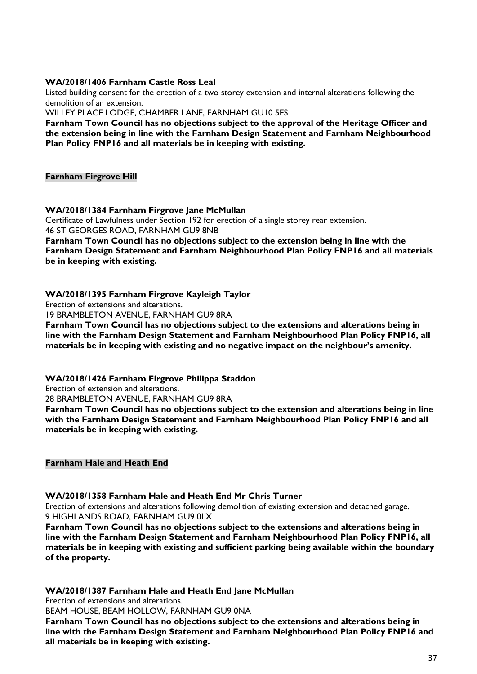#### **WA/2018/1406 Farnham Castle Ross Leal**

Listed building consent for the erection of a two storey extension and internal alterations following the demolition of an extension.

WILLEY PLACE LODGE, CHAMBER LANE, FARNHAM GU10 5ES

**Farnham Town Council has no objections subject to the approval of the Heritage Officer and the extension being in line with the Farnham Design Statement and Farnham Neighbourhood Plan Policy FNP16 and all materials be in keeping with existing.**

**Farnham Firgrove Hill**

#### **WA/2018/1384 Farnham Firgrove Jane McMullan**

Certificate of Lawfulness under Section 192 for erection of a single storey rear extension. 46 ST GEORGES ROAD, FARNHAM GU9 8NB

**Farnham Town Council has no objections subject to the extension being in line with the Farnham Design Statement and Farnham Neighbourhood Plan Policy FNP16 and all materials be in keeping with existing.**

#### **WA/2018/1395 Farnham Firgrove Kayleigh Taylor**

Erection of extensions and alterations.

19 BRAMBLETON AVENUE, FARNHAM GU9 8RA

**Farnham Town Council has no objections subject to the extensions and alterations being in line with the Farnham Design Statement and Farnham Neighbourhood Plan Policy FNP16, all materials be in keeping with existing and no negative impact on the neighbour's amenity.**

#### **WA/2018/1426 Farnham Firgrove Philippa Staddon**

Erection of extension and alterations.

28 BRAMBLETON AVENUE, FARNHAM GU9 8RA

**Farnham Town Council has no objections subject to the extension and alterations being in line with the Farnham Design Statement and Farnham Neighbourhood Plan Policy FNP16 and all materials be in keeping with existing.**

#### **Farnham Hale and Heath End**

#### **WA/2018/1358 Farnham Hale and Heath End Mr Chris Turner**

Erection of extensions and alterations following demolition of existing extension and detached garage. 9 HIGHLANDS ROAD, FARNHAM GU9 0LX

**Farnham Town Council has no objections subject to the extensions and alterations being in line with the Farnham Design Statement and Farnham Neighbourhood Plan Policy FNP16, all materials be in keeping with existing and sufficient parking being available within the boundary of the property.**

#### **WA/2018/1387 Farnham Hale and Heath End Jane McMullan**

Erection of extensions and alterations.

BEAM HOUSE, BEAM HOLLOW, FARNHAM GU9 0NA

**Farnham Town Council has no objections subject to the extensions and alterations being in line with the Farnham Design Statement and Farnham Neighbourhood Plan Policy FNP16 and all materials be in keeping with existing.**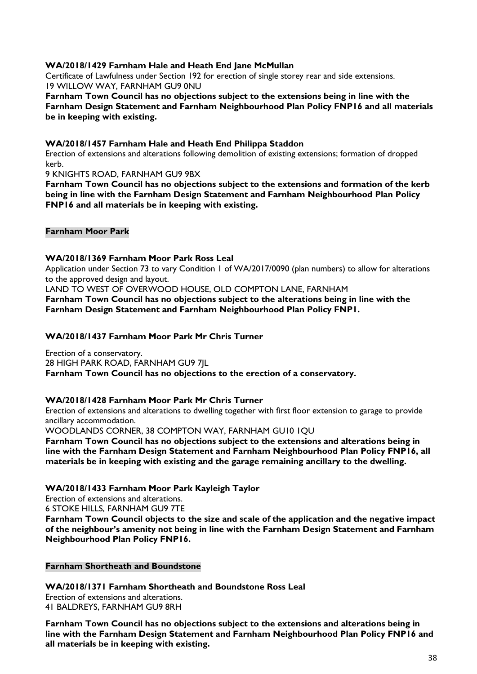#### **WA/2018/1429 Farnham Hale and Heath End Jane McMullan**

Certificate of Lawfulness under Section 192 for erection of single storey rear and side extensions. 19 WILLOW WAY, FARNHAM GU9 0NU

**Farnham Town Council has no objections subject to the extensions being in line with the Farnham Design Statement and Farnham Neighbourhood Plan Policy FNP16 and all materials be in keeping with existing.**

#### **WA/2018/1457 Farnham Hale and Heath End Philippa Staddon**

Erection of extensions and alterations following demolition of existing extensions; formation of dropped kerb.

9 KNIGHTS ROAD, FARNHAM GU9 9BX

**Farnham Town Council has no objections subject to the extensions and formation of the kerb being in line with the Farnham Design Statement and Farnham Neighbourhood Plan Policy FNP16 and all materials be in keeping with existing.**

#### **Farnham Moor Park**

#### **WA/2018/1369 Farnham Moor Park Ross Leal**

Application under Section 73 to vary Condition 1 of WA/2017/0090 (plan numbers) to allow for alterations to the approved design and layout.

LAND TO WEST OF OVERWOOD HOUSE, OLD COMPTON LANE, FARNHAM

**Farnham Town Council has no objections subject to the alterations being in line with the Farnham Design Statement and Farnham Neighbourhood Plan Policy FNP1.**

#### **WA/2018/1437 Farnham Moor Park Mr Chris Turner**

Erection of a conservatory. 28 HIGH PARK ROAD, FARNHAM GU9 7JL **Farnham Town Council has no objections to the erection of a conservatory.**

#### **WA/2018/1428 Farnham Moor Park Mr Chris Turner**

Erection of extensions and alterations to dwelling together with first floor extension to garage to provide ancillary accommodation.

WOODLANDS CORNER, 38 COMPTON WAY, FARNHAM GU10 1QU

**Farnham Town Council has no objections subject to the extensions and alterations being in line with the Farnham Design Statement and Farnham Neighbourhood Plan Policy FNP16, all materials be in keeping with existing and the garage remaining ancillary to the dwelling.**

#### **WA/2018/1433 Farnham Moor Park Kayleigh Taylor**

Erection of extensions and alterations.

6 STOKE HILLS, FARNHAM GU9 7TE

**Farnham Town Council objects to the size and scale of the application and the negative impact of the neighbour's amenity not being in line with the Farnham Design Statement and Farnham Neighbourhood Plan Policy FNP16.**

#### **Farnham Shortheath and Boundstone**

**all materials be in keeping with existing.**

**WA/2018/1371 Farnham Shortheath and Boundstone Ross Leal** Erection of extensions and alterations.

41 BALDREYS, FARNHAM GU9 8RH **Farnham Town Council has no objections subject to the extensions and alterations being in line with the Farnham Design Statement and Farnham Neighbourhood Plan Policy FNP16 and**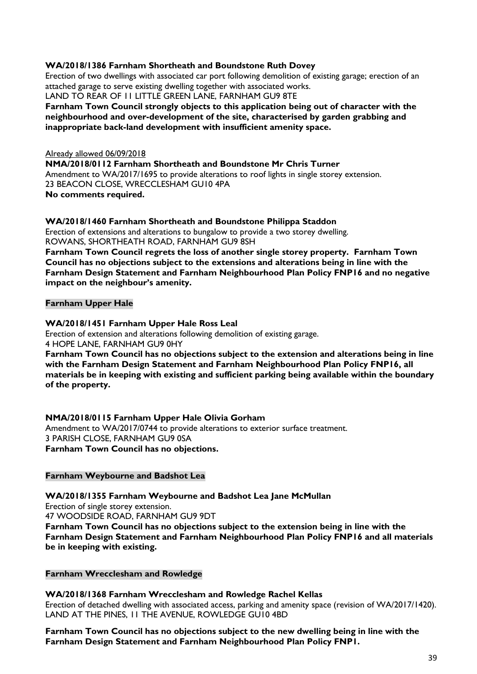#### **WA/2018/1386 Farnham Shortheath and Boundstone Ruth Dovey**

Erection of two dwellings with associated car port following demolition of existing garage; erection of an attached garage to serve existing dwelling together with associated works. LAND TO REAR OF 11 LITTLE GREEN LANE, FARNHAM GU9 8TE

#### **Farnham Town Council strongly objects to this application being out of character with the neighbourhood and over-development of the site, characterised by garden grabbing and inappropriate back-land development with insufficient amenity space.**

Already allowed 06/09/2018 **NMA/2018/0112 Farnham Shortheath and Boundstone Mr Chris Turner** Amendment to WA/2017/1695 to provide alterations to roof lights in single storey extension. 23 BEACON CLOSE, WRECCLESHAM GU10 4PA **No comments required.**

#### **WA/2018/1460 Farnham Shortheath and Boundstone Philippa Staddon**

Erection of extensions and alterations to bungalow to provide a two storey dwelling. ROWANS, SHORTHEATH ROAD, FARNHAM GU9 8SH

**Farnham Town Council regrets the loss of another single storey property. Farnham Town Council has no objections subject to the extensions and alterations being in line with the Farnham Design Statement and Farnham Neighbourhood Plan Policy FNP16 and no negative impact on the neighbour's amenity.**

#### **Farnham Upper Hale**

#### **WA/2018/1451 Farnham Upper Hale Ross Leal**

Erection of extension and alterations following demolition of existing garage. 4 HOPE LANE, FARNHAM GU9 0HY

**Farnham Town Council has no objections subject to the extension and alterations being in line with the Farnham Design Statement and Farnham Neighbourhood Plan Policy FNP16, all materials be in keeping with existing and sufficient parking being available within the boundary of the property.**

#### **NMA/2018/0115 Farnham Upper Hale Olivia Gorham**

Amendment to WA/2017/0744 to provide alterations to exterior surface treatment. 3 PARISH CLOSE, FARNHAM GU9 0SA **Farnham Town Council has no objections.**

#### **Farnham Weybourne and Badshot Lea**

**WA/2018/1355 Farnham Weybourne and Badshot Lea Jane McMullan** Erection of single storey extension. 47 WOODSIDE ROAD, FARNHAM GU9 9DT **Farnham Town Council has no objections subject to the extension being in line with the Farnham Design Statement and Farnham Neighbourhood Plan Policy FNP16 and all materials be in keeping with existing.**

#### **Farnham Wrecclesham and Rowledge**

#### **WA/2018/1368 Farnham Wrecclesham and Rowledge Rachel Kellas**

Erection of detached dwelling with associated access, parking and amenity space (revision of WA/2017/1420). LAND AT THE PINES, 11 THE AVENUE, ROWLEDGE GU10 4BD

#### **Farnham Town Council has no objections subject to the new dwelling being in line with the Farnham Design Statement and Farnham Neighbourhood Plan Policy FNP1.**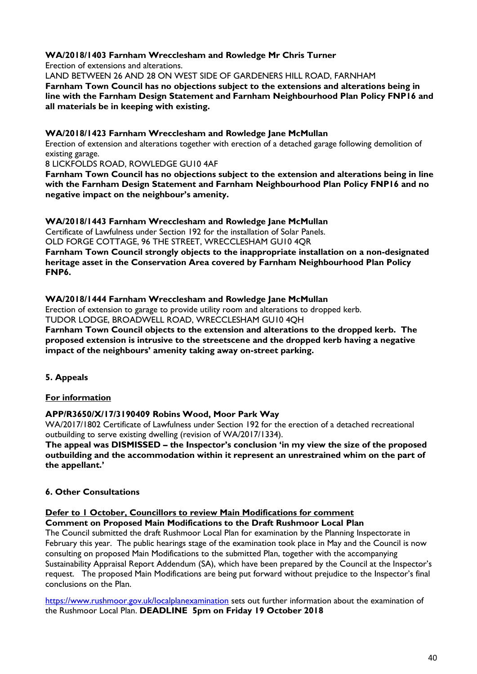#### **WA/2018/1403 Farnham Wrecclesham and Rowledge Mr Chris Turner**

Erection of extensions and alterations.

LAND BETWEEN 26 AND 28 ON WEST SIDE OF GARDENERS HILL ROAD, FARNHAM **Farnham Town Council has no objections subject to the extensions and alterations being in line with the Farnham Design Statement and Farnham Neighbourhood Plan Policy FNP16 and all materials be in keeping with existing.**

#### **WA/2018/1423 Farnham Wrecclesham and Rowledge Jane McMullan**

Erection of extension and alterations together with erection of a detached garage following demolition of existing garage.

8 LICKFOLDS ROAD, ROWLEDGE GU10 4AF

**Farnham Town Council has no objections subject to the extension and alterations being in line with the Farnham Design Statement and Farnham Neighbourhood Plan Policy FNP16 and no negative impact on the neighbour's amenity.**

#### **WA/2018/1443 Farnham Wrecclesham and Rowledge Jane McMullan**

Certificate of Lawfulness under Section 192 for the installation of Solar Panels.

OLD FORGE COTTAGE, 96 THE STREET, WRECCLESHAM GU10 4QR

**Farnham Town Council strongly objects to the inappropriate installation on a non-designated heritage asset in the Conservation Area covered by Farnham Neighbourhood Plan Policy FNP6.**

#### **WA/2018/1444 Farnham Wrecclesham and Rowledge Jane McMullan**

Erection of extension to garage to provide utility room and alterations to dropped kerb.

TUDOR LODGE, BROADWELL ROAD, WRECCLESHAM GU10 4QH

**Farnham Town Council objects to the extension and alterations to the dropped kerb. The proposed extension is intrusive to the streetscene and the dropped kerb having a negative impact of the neighbours' amenity taking away on-street parking.**

**5. Appeals**

#### **For information**

#### **APP/R3650/X/17/3190409 Robins Wood, Moor Park Way**

WA/2017/1802 Certificate of Lawfulness under Section 192 for the erection of a detached recreational outbuilding to serve existing dwelling (revision of WA/2017/1334).

**The appeal was DISMISSED – the Inspector's conclusion 'in my view the size of the proposed outbuilding and the accommodation within it represent an unrestrained whim on the part of the appellant.'**

#### **6. Other Consultations**

#### **Defer to 1 October, Councillors to review Main Modifications for comment Comment on Proposed Main Modifications to the Draft Rushmoor Local Plan**

The Council submitted the draft Rushmoor Local Plan for examination by the Planning Inspectorate in February this year. The public hearings stage of the examination took place in May and the Council is now consulting on proposed Main Modifications to the submitted Plan, together with the accompanying Sustainability Appraisal Report Addendum (SA), which have been prepared by the Council at the Inspector's request. The proposed Main Modifications are being put forward without prejudice to the Inspector's final conclusions on the Plan.

<https://www.rushmoor.gov.uk/localplanexamination> sets out further information about the examination of the Rushmoor Local Plan. **DEADLINE 5pm on Friday 19 October 2018**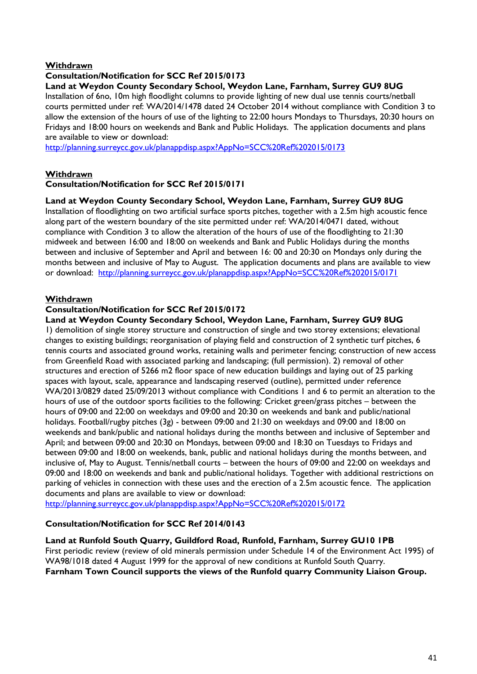#### **Withdrawn**

#### **Consultation/Notification for SCC Ref 2015/0173**

#### **Land at Weydon County Secondary School, Weydon Lane, Farnham, Surrey GU9 8UG**

Installation of 6no, 10m high floodlight columns to provide lighting of new dual use tennis courts/netball courts permitted under ref: WA/2014/1478 dated 24 October 2014 without compliance with Condition 3 to allow the extension of the hours of use of the lighting to 22:00 hours Mondays to Thursdays, 20:30 hours on Fridays and 18:00 hours on weekends and Bank and Public Holidays. The application documents and plans are available to view or download:

<http://planning.surreycc.gov.uk/planappdisp.aspx?AppNo=SCC%20Ref%202015/0173>

#### **Withdrawn**

#### **Consultation/Notification for SCC Ref 2015/0171**

#### **Land at Weydon County Secondary School, Weydon Lane, Farnham, Surrey GU9 8UG**

Installation of floodlighting on two artificial surface sports pitches, together with a 2.5m high acoustic fence along part of the western boundary of the site permitted under ref: WA/2014/0471 dated, without compliance with Condition 3 to allow the alteration of the hours of use of the floodlighting to 21:30 midweek and between 16:00 and 18:00 on weekends and Bank and Public Holidays during the months between and inclusive of September and April and between 16: 00 and 20:30 on Mondays only during the months between and inclusive of May to August. The application documents and plans are available to view or download: <http://planning.surreycc.gov.uk/planappdisp.aspx?AppNo=SCC%20Ref%202015/0171>

#### **Withdrawn**

#### **Consultation/Notification for SCC Ref 2015/0172**

#### **Land at Weydon County Secondary School, Weydon Lane, Farnham, Surrey GU9 8UG**

1) demolition of single storey structure and construction of single and two storey extensions; elevational changes to existing buildings; reorganisation of playing field and construction of 2 synthetic turf pitches, 6 tennis courts and associated ground works, retaining walls and perimeter fencing; construction of new access from Greenfield Road with associated parking and landscaping; (full permission). 2) removal of other structures and erection of 5266 m2 floor space of new education buildings and laying out of 25 parking spaces with layout, scale, appearance and landscaping reserved (outline), permitted under reference WA/2013/0829 dated 25/09/2013 without compliance with Conditions 1 and 6 to permit an alteration to the hours of use of the outdoor sports facilities to the following: Cricket green/grass pitches – between the hours of 09:00 and 22:00 on weekdays and 09:00 and 20:30 on weekends and bank and public/national holidays. Football/rugby pitches (3g) - between 09:00 and 21:30 on weekdays and 09:00 and 18:00 on weekends and bank/public and national holidays during the months between and inclusive of September and April; and between 09:00 and 20:30 on Mondays, between 09:00 and 18:30 on Tuesdays to Fridays and between 09:00 and 18:00 on weekends, bank, public and national holidays during the months between, and inclusive of, May to August. Tennis/netball courts – between the hours of 09:00 and 22:00 on weekdays and 09:00 and 18:00 on weekends and bank and public/national holidays. Together with additional restrictions on parking of vehicles in connection with these uses and the erection of a 2.5m acoustic fence. The application documents and plans are available to view or download:

<http://planning.surreycc.gov.uk/planappdisp.aspx?AppNo=SCC%20Ref%202015/0172>

#### **Consultation/Notification for SCC Ref 2014/0143**

#### **Land at Runfold South Quarry, Guildford Road, Runfold, Farnham, Surrey GU10 1PB**

First periodic review (review of old minerals permission under Schedule 14 of the Environment Act 1995) of WA98/1018 dated 4 August 1999 for the approval of new conditions at Runfold South Quarry. **Farnham Town Council supports the views of the Runfold quarry Community Liaison Group.**